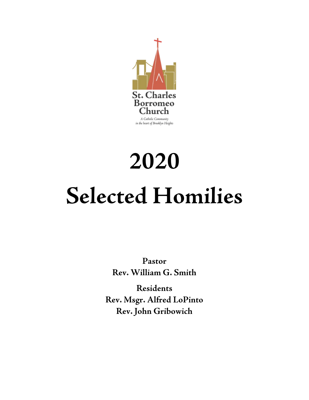

# **2020 Selected Homilies**

**Pastor Rev. William G. Smith**

**Residents Rev. Msgr. Alfred LoPinto Rev. John Gribowich**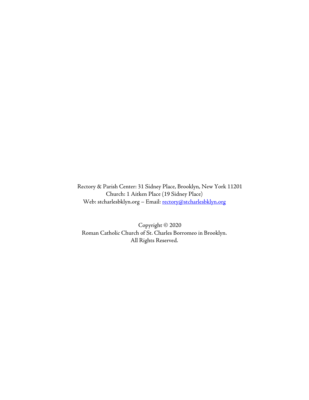Rectory & Parish Center: 31 Sidney Place, Brooklyn, New York 11201 Church: 1 Aitken Place (19 Sidney Place) Web: stcharlesbklyn.org - Email: [rectory@stcharlesbklyn.org](mailto:rectory@stcharlesbklyn.org)

Copyright © 2020 Roman Catholic Church of St. Charles Borromeo in Brooklyn. All Rights Reserved.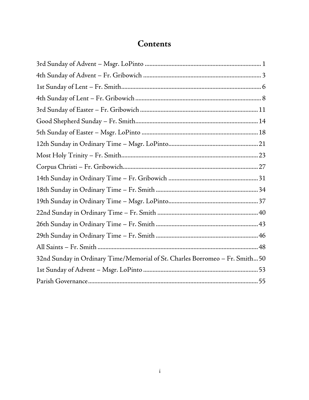# Contents

| 32nd Sunday in Ordinary Time/Memorial of St. Charles Borromeo – Fr. Smith50 |
|-----------------------------------------------------------------------------|
|                                                                             |
|                                                                             |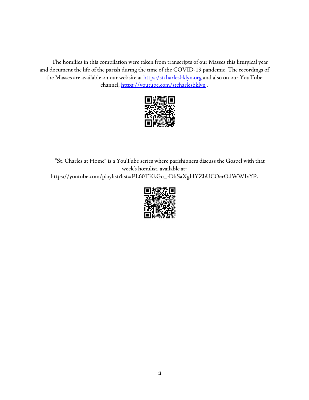The homilies in this compilation were taken from transcripts of our Masses this liturgical year and document the life of the parish during the time of the COVID-19 pandemic. The recordings of the Masses are available on our website at **[https:/stcharlesbklyn.org](https://stcharlesbklyn.org/)** and also on our YouTube channel,<https://youtube.com/stcharlesbklyn>.



"St. Charles at Home" is a YouTube series where parishioners discuss the Gospel with that week's homilist, available at: https://youtube.com/playlist?list=PL60TKkGo\_-DhSaXgHYZbUCOerOdWWIxYP.

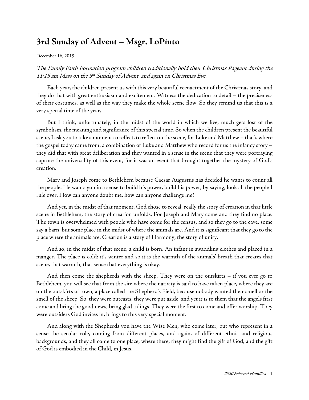## <span id="page-6-0"></span>**3rd Sunday of Advent – Msgr. LoPinto**

December 16, 2019

The Family Faith Formation program children traditionally hold their Christmas Pageant during the 11:15 am Mass on the  $3^{rd}$  Sunday of Advent, and again on Christmas Eve.

Each year, the children present us with this very beautiful reenactment of the Christmas story, and they do that with great enthusiasm and excitement. Witness the dedication to detail – the preciseness of their costumes, as well as the way they make the whole scene flow. So they remind us that this is a very special time of the year.

But I think, unfortunately, in the midst of the world in which we live, much gets lost of the symbolism, the meaning and significance of this special time. So when the children present the beautiful scene, I ask you to take a moment to reflect, to reflect on the scene, for Luke and Matthew – that's where the gospel today came from: a combination of Luke and Matthew who record for us the infancy story – they did that with great deliberation and they wanted in a sense in the scene that they were portraying capture the universality of this event, for it was an event that brought together the mystery of God's creation.

Mary and Joseph come to Bethlehem because Caesar Augustus has decided he wants to count all the people. He wants you in a sense to build his power, build his power, by saying, look all the people I rule over. How can anyone doubt me, how can anyone challenge me?

And yet, in the midst of that moment, God chose to reveal, really the story of creation in that little scene in Bethlehem, the story of creation unfolds. For Joseph and Mary come and they find no place. The town is overwhelmed with people who have come for the census, and so they go to the cave, some say a barn, but some place in the midst of where the animals are. And it is significant that they go to the place where the animals are. Creation is a story of Harmony, the story of unity.

And so, in the midst of that scene, a child is born. An infant in swaddling clothes and placed in a manger. The place is cold: it's winter and so it is the warmth of the animals' breath that creates that scene, that warmth, that sense that everything is okay.

And then come the shepherds with the sheep. They were on the outskirts – if you ever go to Bethlehem, you will see that from the site where the nativity is said to have taken place, where they are on the outskirts of town, a place called the Shepherd's Field, because nobody wanted their smell or the smell of the sheep. So, they were outcasts, they were put aside, and yet it is to them that the angels first come and bring the good news, bring glad tidings. They were the first to come and offer worship. They were outsiders God invites in, brings to this very special moment.

And along with the Shepherds you have the Wise Men, who come later, but who represent in a sense the secular role, coming from different places, and again, of different ethnic and religious backgrounds, and they all come to one place, where there, they might find the gift of God, and the gift of God is embodied in the Child, in Jesus.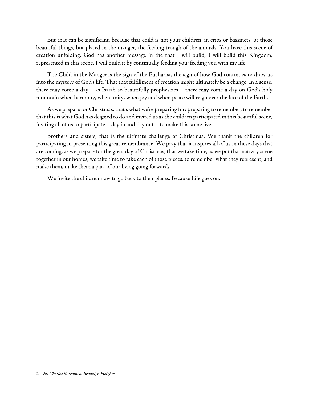But that can be significant, because that child is not your children, in cribs or bassinets, or those beautiful things, but placed in the manger, the feeding trough of the animals. You have this scene of creation unfolding. God has another message in the that I will build, I will build this Kingdom, represented in this scene. I will build it by continually feeding you: feeding you with my life.

The Child in the Manger is the sign of the Eucharist, the sign of how God continues to draw us into the mystery of God's life. That that fulfillment of creation might ultimately be a change. In a sense, there may come a day – as Isaiah so beautifully prophesizes – there may come a day on God's holy mountain when harmony, when unity, when joy and when peace will reign over the face of the Earth.

As we prepare for Christmas, that's what we're preparing for: preparing to remember, to remember that this is what God has deigned to do and invited us as the children participated in this beautiful scene, inviting all of us to participate – day in and day out – to make this scene live.

Brothers and sisters, that is the ultimate challenge of Christmas. We thank the children for participating in presenting this great remembrance. We pray that it inspires all of us in these days that are coming, as we prepare for the great day of Christmas, that we take time, as we put that nativity scene together in our homes, we take time to take each of those pieces, to remember what they represent, and make them, make them a part of our living going forward.

We invite the children now to go back to their places. Because Life goes on.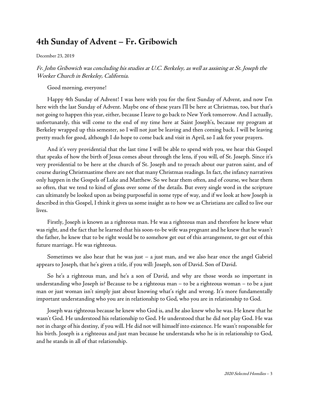## <span id="page-8-0"></span>**4th Sunday of Advent – Fr. Gribowich**

December 23, 2019

Fr. John Gribowich was concluding his studies at U.C. Berkeley, as well as assisting at St. Joseph the Worker Church in Berkeley, California.

Good morning, everyone!

Happy 4th Sunday of Advent! I was here with you for the first Sunday of Advent, and now I'm here with the last Sunday of Advent. Maybe one of these years I'll be here at Christmas, too, but that's not going to happen this year, either, because I leave to go back to New York tomorrow. And I actually, unfortunately, this will come to the end of my time here at Saint Joseph's, because my program at Berkeley wrapped up this semester, so I will not just be leaving and then coming back. I will be leaving pretty much for good, although I do hope to come back and visit in April, so I ask for your prayers.

And it's very providential that the last time I will be able to spend with you, we hear this Gospel that speaks of how the birth of Jesus comes about through the lens, if you will, of St. Joseph. Since it's very providential to be here at the church of St. Joseph and to preach about our patron saint, and of course during Christmastime there are not that many Christmas readings. In fact, the infancy narratives only happen in the Gospels of Luke and Matthew. So we hear them often, and of course, we hear them so often, that we tend to kind of gloss over some of the details. But every single word in the scripture can ultimately be looked upon as being purposeful in some type of way, and if we look at how Joseph is described in this Gospel, I think it gives us some insight as to how we as Christians are called to live our lives.

Firstly, Joseph is known as a righteous man. He was a righteous man and therefore he knew what was right, and the fact that he learned that his soon-to-be wife was pregnant and he knew that he wasn't the father, he knew that to be right would be to somehow get out of this arrangement, to get out of this future marriage. He was righteous.

Sometimes we also hear that he was just – a just man, and we also hear once the angel Gabriel appears to Joseph, that he's given a title, if you will: Joseph, son of David. Son of David.

So he's a righteous man, and he's a son of David, and why are those words so important in understanding who Joseph is? Because to be a righteous man – to be a righteous woman – to be a just man or just woman isn't simply just about knowing what's right and wrong. It's more fundamentally important understanding who you are in relationship to God, who you are in relationship to God.

Joseph was righteous because he knew who God is, and he also knew who he was. He knew that he wasn't God. He understood his relationship to God. He understood that he did not play God. He was not in charge of his destiny, if you will. He did not will himself into existence. He wasn't responsible for his birth. Joseph is a righteous and just man because he understands who he is in relationship to God, and he stands in all of that relationship.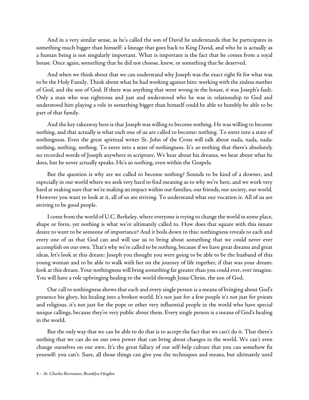And in a very similar sense, as he's called the son of David he understands that he participates in something much bigger than himself: a lineage that goes back to King David, and who he is actually as a human being is not singularly important. What is important is the fact that he comes from a royal house. Once again, something that he did not choose, knew, or something that he deserved.

And when we think about that we can understand why Joseph was the exact right fit for what was to bethe Holy Family. Think about what he had working against him: working with the sinless mother of God, and the son of God. If there was anything that went wrong in the house, it was Joseph's fault. Only a man who was righteous and just and understood who he was in relationship to God and understood him playing a role in something bigger than himself could be able to humbly be able to be part of that family.

And the key takeaway here is that Joseph was willing to become nothing. He was willing to become nothing, and that actually is what each one of us are called to become: nothing. To enter into a state of nothingness. Even the great spiritual writer St. John of the Cross will talk about nada, nada, nada: nothing, nothing, nothing. To enter into a state of nothingness. It's so nothing that there's absolutely no recorded words of Joseph anywhere in scripture. We hear about his dreams, we hear about what he does, but he never actually speaks. He's so nothing, even within the Gospels.

But the question is why are we called to become nothing? Sounds to be kind of a downer, and especially in our world where we seek very hard to find meaning as to why we're here, and we work very hard at making sure that we're making an impact within our families, our friends, our society, our world. However you want to look at it, all of us are striving. To understand what our vocation is. All of us are striving to be good people.

I come from the world of U.C. Berkeley, where everyone is trying to change the world in some place, shape or form, yet nothing is what we're ultimately called to. How does that square with this innate desire to want to be someone of importance? And it boils down to this: nothingness reveals to each and every one of us that God can and will use us to bring about something that we could never ever accomplish on our own. That's why we're called to be nothing, because if we have great dreams and great ideas, let's look at this dream: Joseph you thought you were going to be able to be the husband of this young woman and to be able to walk with her on the journey of life together, if that was your dream: look at this dream. Your nothingness will bring something far greater than you could ever, ever imagine. You will have a role upbringing healing to the world through Jesus Christ, the son of God.

Our call to nothingness shows that each and every single person is a means of bringing about God's presence his glory, his healing into a broken world. It's not just for a few people it's not just for priests and religious. it's not just for the pope or other very influential people in the world who have special unique callings, because they're very public about them. Every single person is a means of God's healing in the world.

But the only way that we can be able to do that is to accept the fact that we can't do it. That there's nothing that we can do on our own power that can bring about changes in the world. We can't even change ourselves on our own. It's the great fallacy of our self-help culture that you can somehow fix yourself: you can't. Sure, all those things can give you the techniques and means, but ultimately until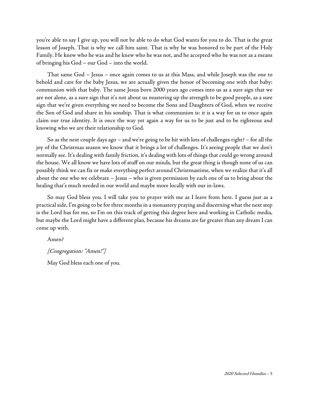you're able to say I give up, you will not be able to do what God wants for you to do. That is the great lesson of Joseph. That is why we call him saint. That is why he was honored to be part of the Holy Family. He knew who he was and he knew who he was not, and he accepted who he was not as a means of bringing his God – our God – into the world.

That same God – Jesus – once again comes to us at this Mass, and while Joseph was the one to behold and care for the baby Jesus, we are actually given the honor of becoming one with that baby: communion with that baby. The same Jesus born 2000 years ago comes into us as a sure sign that we are not alone, as a sure sign that it's not about us mustering up the strength to be good people, as a sure sign that we're given everything we need to become the Sons and Daughters of God, when we receive the Son of God and share in his sonship. That is what communion is: it is a way for us to once again claim our true identity. It is once the way yet again a way for us to be just and to be righteous and knowing who we are their relationship to God.

So as the next couple days ago – and we're going to be hit with lots of challenges right? – for all the joy of the Christmas season we know that it brings a lot of challenges. It's seeing people that we don't normally see. It's dealing with family friction, it's dealing with lots of things that could go wrong around the house. We all know we have lots of stuff on our minds, but the great thing is though none of us can possibly think we can fix or make everything perfect around Christmastime, when we realize that it's all about the one who we celebrate – Jesus – who is given permission by each one of us to bring about the healing that's much needed in our world and maybe more locally with our in-laws.

So may God bless you. I will take you to prayer with me as I leave from here. I guess just as a practical side, I'm going to be for three months in a monastery praying and discerning what the next step is the Lord has for me, so I'm on this track of getting this degree here and working in Catholic media, but maybe the Lord might have a different plan, because his dreams are far greater than any dream I can come up with.

Amen?

[Congregation: "Amen!"]

May God bless each one of you.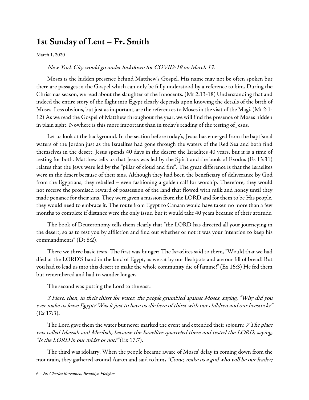## <span id="page-11-0"></span>**1st Sunday of Lent – Fr. Smith**

[March](https://www.stcharlesbklyn.org/2020/03/1st-sunday-lent-fr-smith-homily/) 1, 2020

#### New York City would go under lockdown for COVID-19 on March 13.

Moses is the hidden presence behind Matthew's Gospel. His name may not be often spoken but there are passages in the Gospel which can only be fully understood by a reference to him. During the Christmas season, we read about the slaughter of the Innocents. (Mt 2:13-18) Understanding that and indeed the entire story of the flight into Egypt clearly depends upon knowing the details of the birth of Moses. Less obvious, but just as important, are the references to Moses in the visit of the Magi. (Mt 2:1-12) As we read the Gospel of Matthew throughout the year, we will find the presence of Moses hidden in plain sight. Nowhere is this more important than in today's reading of the testing of Jesus.

Let us look at the background. In the section before today's, Jesus has emerged from the baptismal waters of the Jordan just as the Israelites had gone through the waters of the Red Sea and both find themselves in the desert. Jesus spends 40 days in the desert; the Israelites 40 years, but it is a time of testing for both. Matthew tells us that Jesus was led by the Spirit and the book of Exodus (Es 13:31) relates that the Jews were led by the "pillar of cloud and fire". The great difference is that the Israelites were in the desert because of their sins. Although they had been the beneficiary of deliverance by God from the Egyptians, they rebelled – even fashioning a golden calf for worship. Therefore, they would not receive the promised reward of possession of the land that flowed with milk and honey until they made penance for their sins. They were given a mission from the LORD and for them to be His people, they would need to embrace it. The route from Egypt to Canaan would have taken no more than a few months to complete if distance were the only issue, but it would take 40 years because of their attitude.

The book of Deuteronomy tells them clearly that "the LORD has directed all your journeying in the desert, so as to test you by affliction and find out whether or not it was your intention to keep his commandments" (Dt 8:2).

There we three basic tests. The first was hunger: The Israelites said to them, "Would that we had died at the LORD'S hand in the land of Egypt, as we sat by our fleshpots and ate our fill of bread! But you had to lead us into this desert to make the whole community die of famine!" (Ex 16:3) He fed them but remembered and had to wander longer.

The second was putting the Lord to the east:

<sup>3</sup> Here, then, in their thirst for water, the people grumbled against Moses, saying, "Why did you ever make us leave Egypt? Was it just to have us die here of thirst with our children and our livestock?" (Ex 17:3).

The Lord gave them the water but never marked the event and extended their sojourn: *7 The place* was called Massah and Meribah, because the Israelites quarreled there and tested the LORD, saying, "Is the LORD in our midst or not?" (Ex 17:7).

The third was idolatry. When the people became aware of Moses' delay in coming down from the mountain, they gathered around Aaron and said to him**,** "Come, make us <sup>a</sup> god who will be our leader;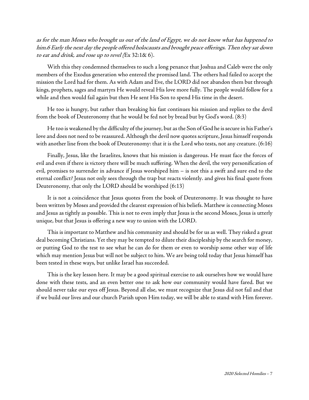as for the man Moses who brought us out of the land of Egypt, we do not know what has happened to him.6 Early the next day the people offered holocausts and brought peace offerings. Then they sat down to eat and drink, and rose up to revel (Ex 32:1& 6).

With this they condemned themselves to such a long penance that Joshua and Caleb were the only members of the Exodus generation who entered the promised land. The others had failed to accept the mission the Lord had for them. As with Adam and Eve, the LORD did not abandon them but through kings, prophets, sages and martyrs He would reveal His love more fully. The people would follow for a while and then would fail again but then He sent His Son to spend His time in the desert.

He too is hungry, but rather than breaking his fast continues his mission and replies to the devil from the book of Deuteronomy that he would be fed not by bread but by God's word. (8:3)

He too is weakened by the difficulty of the journey, but as the Son of God he is secure in his Father's love and does not need to be reassured. Although the devil now quotes scripture, Jesus himself responds with another line from the book of Deuteronomy: that it is the Lord who tests, not any creature.  $(6:16)$ 

Finally, Jesus, like the Israelites, knows that his mission is dangerous. He must face the forces of evil and even if there is victory there will be much suffering. When the devil, the very personification of evil, promises to surrender in advance if Jesus worshiped him – is not this a swift and sure end to the eternal conflict? Jesus not only sees through the trap but reacts violently. and gives his final quote from Deuteronomy, that only the LORD should be worshiped (6:13)

It is not a coincidence that Jesus quotes from the book of Deuteronomy. It was thought to have been written by Moses and provided the clearest expression of his beliefs. Matthew is connecting Moses and Jesus as tightly as possible. This is not to even imply that Jesus is the second Moses, Jesus is utterly unique, but that Jesus is offering a new way to union with the LORD.

This is important to Matthew and his community and should be for us as well. They risked a great deal becoming Christians. Yet they may be tempted to dilute their discipleship by the search for money, or putting God to the test to see what he can do for them or even to worship some other way of life which may mention Jesus but will not be subject to him. We are being told today that Jesus himself has been tested in these ways, but unlike Israel has succeeded.

This is the key lesson here. It may be a good spiritual exercise to ask ourselves how we would have done with these tests, and an even better one to ask how our community would have fared. But we should never take our eyes off Jesus. Beyond all else, we must recognize that Jesus did not fail and that if we build our lives and our church Parish upon Him today, we will be able to stand with Him forever.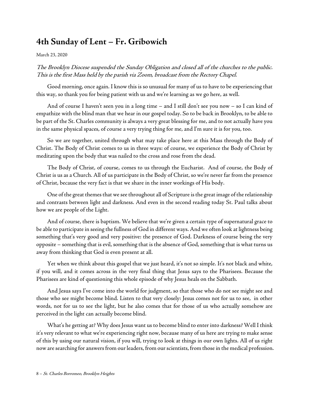## <span id="page-13-0"></span>**4th Sunday of Lent – Fr. Gribowich**

March 23, 2020

### The Brooklyn Diocese suspended the Sunday Obligation and closed all of the churches to the public. This is the first Mass held by the parish via Zoom, broadcast from the Rectory Chapel.

Good morning, once again. I know this is so unusual for many of us to have to be experiencing that this way, so thank you for being patient with us and we're learning as we go here, as well.

And of course I haven't seen you in a long time – and I still don't see you now – so I can kind of empathize with the blind man that we hear in our gospel today. So to be back in Brooklyn, to be able to be part of the St. Charles community is always a very great blessing for me, and to not actually have you in the same physical spaces, of course a very trying thing for me, and I'm sure it is for you, too.

So we are together, united through what may take place here at this Mass through the Body of Christ. The Body of Christ comes to us in three ways: of course, we experience the Body of Christ by meditating upon the body that was nailed to the cross and rose from the dead.

The Body of Christ, of course, comes to us through the Eucharist. And of course, the Body of Christ is us as a Church. All of us participate in the Body of Christ, so we're never far from the presence of Christ, because the very fact is that we share in the inner workings of His body.

One of the great themes that we see throughout all of Scripture is the great image of the relationship and contrasts between light and darkness. And even in the second reading today St. Paul talks about how we are people of the Light.

And of course, there is baptism. We believe that we're given a certain type of supernatural grace to be able to participate in seeing the fullness of God in different ways. And we often look at lightness being something that's very good and very positive: the presence of God. Darkness of course being the very opposite – something that is evil, something that is the absence of God, something that is what turns us away from thinking that God is even present at all.

Yet when we think about this gospel that we just heard, it's not so simple. It's not black and white, if you will, and it comes across in the very final thing that Jesus says to the Pharisees. Because the Pharisees are kind of questioning this whole episode of why Jesus heals on the Sabbath.

And Jesus says I've come into the world for judgment, so that those who do not see might see and those who see might become blind. Listen to that very closely: Jesus comes not for us to see, in other words, not for us to see the light, but he also comes that for those of us who actually somehow are perceived in the light can actually become blind.

What's he getting at? Why does Jesus want us to become blind to enter into darkness? Well I think it's very relevant to what we're experiencing right now, because many of us here are trying to make sense of this by using our natural vision, if you will, trying to look at things in our own lights. All of us right now are searching for answers from our leaders, from our scientists, from those in the medical profession.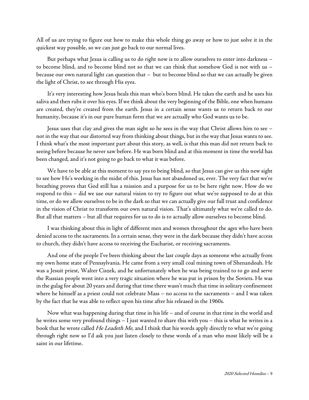All of us are trying to figure out how to make this whole thing go away or how to just solve it in the quickest way possible, so we can just go back to our normal lives.

But perhaps what Jesus is calling us to do right now is to allow ourselves to enter into darkness – to become blind, and to become blind not so that we can think that somehow God is not with us – because our own natural light can question that – but to become blind so that we can actually be given the light of Christ, to see through His eyes.

It's very interesting how Jesus heals this man who's born blind. He takes the earth and he uses his saliva and then rubs it over his eyes. If we think about the very beginning of the Bible, one when humans are created, they're created from the earth. Jesus in a certain sense wants us to return back to our humanity, because it's in our pure human form that we are actually who God wants us to be.

Jesus uses that clay and gives the man sight so he sees in the way that Christ allows him to see – not in the way that our distorted way from thinking about things, but in the way that Jesus wants to see. I think what's the most important part about this story, as well, is that this man did not return back to seeing before because he never saw before. He was born blind and at this moment in time the world has been changed, and it's not going to go back to what it was before.

We have to be able at this moment to say yes to being blind, so that Jesus can give us this new sight to see how He's working in the midst of this. Jesus has not abandoned us, ever. The very fact that we're breathing proves that God still has a mission and a purpose for us to be here right now. How do we respond to this – did we use our natural vision to try to figure out what we're supposed to do at this time, or do we allow ourselves to be in the dark so that we can actually give our full trust and confidence in the vision of Christ to transform our own natural vision. That's ultimately what we're called to do. But all that matters – but all that requires for us to do is to actually allow ourselves to become blind.

I was thinking about this in light of different men and women throughout the ages who have been denied access to the sacraments. In a certain sense, they were in the dark because they didn't have access to church, they didn't have access to receiving the Eucharist, or receiving sacraments.

And one of the people I've been thinking about the last couple days as someone who actually from my own home state of Pennsylvania. He came from a very small coal mining town of Shenandoah. He was a Jesuit priest, Walter Ciszek, and he unfortunately when he was being trained to to go and serve the Russian people went into a very tragic situation where he was put in prison by the Soviets. He was in the gulag for about 20 years and during that time there wasn't much that time in solitary confinement where he himself as a priest could not celebrate Mass – no access to the sacraments – and I was taken by the fact that he was able to reflect upon his time after his released in the 1960s.

Now what was happening during that time in his life – and of course in that time in the world and he writes some very profound things – I just wanted to share this with you – this is what he writes in a book that he wrote called *He Leadeth Me*, and I think that his words apply directly to what we're going through right now so I'd ask you just listen closely to these words of a man who most likely will be a saint in our lifetime.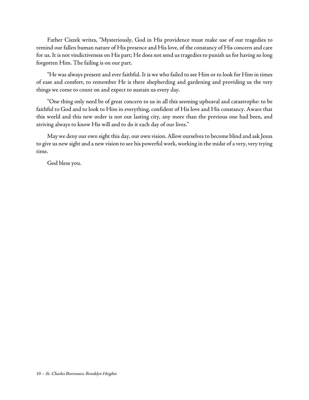Father Ciszek writes, "Mysteriously, God in His providence must make use of our tragedies to remind our fallen human nature of His presence and His love, of the constancy of His concern and care for us. It is not vindictiveness on His part; He does not send us tragedies to punish us for having so long forgotten Him. The failing is on our part.

"He was always present and ever faithful. It is we who failed to see Him or to look for Him in times of ease and comfort, to remember He is there shepherding and gardening and providing us the very things we come to count on and expect to sustain us every day.

"One thing only need be of great concern to us in all this seeming upheaval and catastrophe: to be faithful to God and to look to Him in everything, confident of His love and His constancy. Aware that this world and this new order is not our lasting city, any more than the previous one had been, and striving always to know His will and to do it each day of our lives."

May we deny our own sight this day, our own vision. Allow ourselves to become blind and ask Jesus to give us new sight and a new vision to see his powerful work, working in the midst of a very, very trying time.

God bless you.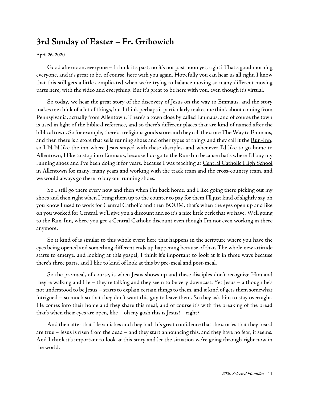## <span id="page-16-0"></span>**3rd Sunday of Easter – Fr. Gribowich**

#### [April](https://www.stcharlesbklyn.org/2020/04/3rd-sunday-of-easter-fr-gribowich-homily/) 26, 2020

Good afternoon, everyone – I think it's past, no it's not past noon yet, right? That's good morning everyone, and it's great to be, of course, here with you again. Hopefully you can hear us all right. I know that this still gets a little complicated when we're trying to balance moving so many different moving parts here, with the video and everything. But it's great to be here with you, even though it's virtual.

So today, we hear the great story of the discovery of Jesus on the way to Emmaus, and the story makes methink of a lot of things, but I think perhaps it particularly makes methink about coming from Pennsylvania, actually from Allentown. There's a town close by called Emmaus, and of course the town is used in light of the biblical reference, and so there's different places that are kind of named after the biblical town. So for example, there's a religious goods store and they call the store The Way to Emmaus, and then there is a store that sells running shoes and other types of things and they call it the [Run-Inn,](https://www.emmausruninn.com/) so I-N-N like the inn where Jesus stayed with these disciples, and whenever I'd like to go home to Allentown, I like to stop into Emmaus, because I do go to the Run-Inn because that's where I'll buy my running shoes and I've been doing it for years, because I was teaching at <u>Central [Catholic](http://www.acchs.info/) High School</u> in Allentown for many, many years and working with the track team and the cross-country team, and we would always go there to buy our running shoes.

So I still go there every now and then when I'm back home, and I like going there picking out my shoes and then right when I bring them up to the counter to pay for them I'll just kind of slightly say oh you know I used to work for Central Catholic and then BOOM, that's when the eyes open up and like oh you worked for Central, we'll give you a discount and so it's a nicelittle perk that we have. Well going to the Run-Inn, where you get a Central Catholic discount even though I'm not even working in there anymore.

So it kind of is similar to this whole event here that happens in the scripture where you have the eyes being opened and something different ends up happening because of that. The whole new attitude starts to emerge, and looking at this gospel, I think it's important to look at it in three ways because there's three parts, and I like to kind of look at this by pre-meal and post-meal.

So the pre-meal, of course, is when Jesus shows up and these disciples don't recognize Him and they're walking and He – they're talking and they seem to be very downcast. Yet Jesus – although he's not understood to be Jesus – starts to explain certain things to them, and it kind of gets them somewhat intrigued – so much so that they don't want this guy to leave them. So they ask him to stay overnight. He comes into their home and they share this meal, and of course it's with the breaking of the bread that's when their eyes are open, like – oh my gosh this is Jesus! – right?

And then after that He vanishes and they had this great confidence that the stories that they heard are true – Jesus is risen from the dead – and they start announcing this, and they have no fear, it seems. And I think it's important to look at this story and let the situation we're going through right now in the world.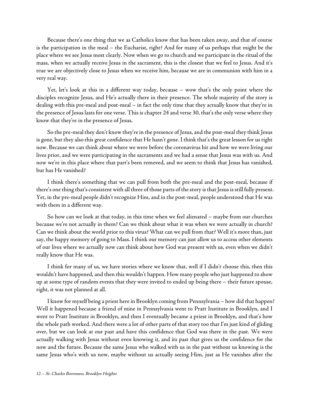Because there's one thing that we as Catholics know that has been taken away, and that of course is the participation in the meal – the Eucharist, right? And for many of us perhaps that might be the place where we see Jesus most clearly. Now when we go to church and we participate in the ritual of the mass, when we actually receive Jesus in the sacrament, this is the closest that we feel to Jesus. And it's true we are objectively close to Jesus when we receive him, because we are in communion with him in a very real way.

Yet, let's look at this in a different way today, because – wow that's the only point where the disciples recognize Jesus, and He's actually there in their presence. The whole majority of the story is dealing with this pre-meal and post-meal – in fact the only time that they actually know that they're in the presence of Jesus lasts for one verse. This is chapter 24 and verse 30, that's the only verse where they know that they're in the presence of Jesus.

So the pre-meal they don't know they're in the presence of Jesus, and the post-meal they think Jesus is gone, but they also this great confidence that He hasn't gone. I think that's the great lesson for us right now. Because we can think about where we were before the coronavirus hit and how we were living our lives prior, and we were participating in the sacraments and we had a sense that Jesus was with us. And now we're in this place where that part's been removed, and we seem to think that Jesus has vanished, but has He vanished?

I think there's something that we can pull from both the pre-meal and the post-meal, because if there's one thing that's consistent with all three of those parts of the story is that Jesus is still fully present. Yet, in the pre-meal people didn't recognize Him, and in the post-meal, people understood that He was with them in a different way.

So how can we look at that today, in this time when we feel alienated – maybe from our churches because we're not actually in them? Can we think about what it was when we were actually in church? Can we think about the world prior to this virus? What can we pull from that? Well it's more than, just say, the happy memory of going to Mass. I think our memory can just allow us to access other elements of our lives where we actually now can think about how God was present with us, even when we didn't really know that He was.

I think for many of us, we have stories where we know that, well if I didn't choose this, then this wouldn't have happened, and then this wouldn't happen. How many people who just happened to show up at some type of random events that they were invited to ended up being there – their future spouse, right, it was not planned at all.

I know for myself being a priest herein Brooklyn coming from Pennsylvania – how did that happen? Well it happened because a friend of mine in Pennsylvania went to Pratt Institute in Brooklyn, and I went to Pratt Institute in Brooklyn, and then I eventually became a priest in Brooklyn, and that's how the whole path worked. And there were a lot of other parts of that story too that I'm just kind of gliding over, but we can look at our past and have this confidence that God was there in the past. We were actually walking with Jesus without even knowing it, and its past that gives us the confidence for the now and the future. Because the same Jesus who walked with us in the past without us knowing is the same Jesus who's with us now, maybe without us actually seeing Him, just as He vanishes after the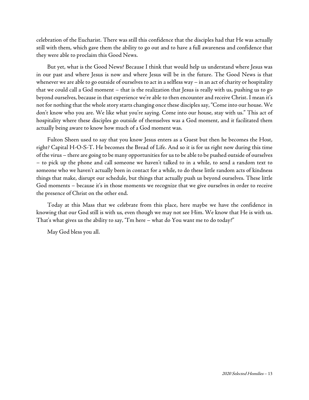celebration of the Eucharist. There was still this confidence that the disciples had that He was actually still with them, which gave them the ability to go out and to have a full awareness and confidence that they were able to proclaim this Good News.

But yet, what is the Good News? Because I think that would help us understand where Jesus was in our past and where Jesus is now and where Jesus will be in the future. The Good News is that whenever we are able to go outside of ourselves to act in a selfless way – in an act of charity or hospitality that we could call a God moment – that is the realization that Jesus is really with us, pushing us to go beyond ourselves, because in that experience we're able to then encounter and receive Christ. I mean it's not for nothing that the whole story starts changing once these disciples say, "Come into our house. We don't know who you are. We like what you're saying. Come into our house, stay with us." This act of hospitality where these disciples go outside of themselves was a God moment, and it facilitated them actually being aware to know how much of a God moment was.

Fulton Sheen used to say that you know Jesus enters as a Guest but then he becomes the Host, right? Capital H-O-S-T. He becomes the Bread of Life. And so it is for us right now during this time of the virus – there are going to be many opportunities for usto be ableto be pushed outside of ourselves – to pick up the phone and call someone we haven't talked to in a while, to send a random text to someone who we haven't actually been in contact for a while, to do these little random acts of kindness things that make, disrupt our schedule, but things that actually push us beyond ourselves. These little God moments – because it's in those moments we recognize that we give ourselves in order to receive the presence of Christ on the other end.

Today at this Mass that we celebrate from this place, here maybe we have the confidence in knowing that our God still is with us, even though we may not see Him. We know that He is with us. That's what gives us the ability to say, "I'm here – what do You want me to do today?"

May God bless you all.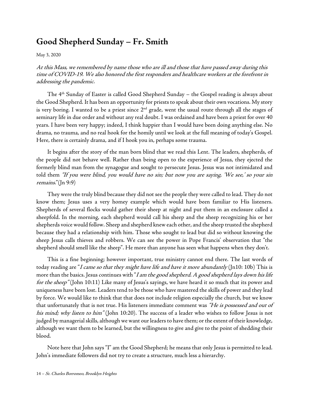## <span id="page-19-0"></span>**Good Shepherd Sunday – Fr. Smith**

May 3, [2020](https://www.stcharlesbklyn.org/2020/05/good-shepherd-sunday-may-3-2020-homily-fr-smith/)

At this Mass, we remembered by name those who are ill and those that have passed away during this time of COVID-19. We also honored the first responders and healthcare workers at the forefront in addressing the pandemic.

The 4th Sunday of Easter is called Good Shepherd Sunday – the Gospel reading is always about the Good Shepherd. It has been an opportunity for priests to speak about their own vocations. My story is very boring. I wanted to be a priest since  $2<sup>nd</sup>$  grade, went the usual route through all the stages of seminary life in due order and without any real doubt. I was ordained and have been a priest for over 40 years. I have been very happy; indeed, I think happier than I would have been doing anything else. No drama, no trauma, and no real hook for the homily until we look at the full meaning of today's Gospel. Here, there is certainly drama, and if I hook you in, perhaps some trauma.

It begins after the story of the man born blind that we read this Lent. The leaders, shepherds, of the people did not behave well. Rather than being open to the experience of Jesus, they ejected the formerly blind man from the synagogue and sought to persecute Jesus. Jesus was not intimidated and told them "If you were blind, you would have no sin; but now you are saying, 'We see,' so your sin remains."(Jn 9:9)

They were the truly blind because they did not see the people they were called to lead. They do not know them; Jesus uses a very homey example which would have been familiar to His listeners. Shepherds of several flocks would gather their sheep at night and put them in an enclosure called a sheepfold. In the morning, each shepherd would call his sheep and the sheep recognizing his or her shepherds voice would follow. Sheep and shepherd knew each other, and the sheep trusted the shepherd because they had a relationship with him. Those who sought to lead but did so without knowing the sheep Jesus calls thieves and robbers. We can see the power in Pope Francis' observation that "the shepherd should smell like the sheep". He more than anyone has seen what happens when they don't.

This is a fine beginning; however important, true ministry cannot end there. The last words of today reading are "I came so that they might have life and have it more abundantly ( $[n10: 10b)$ ) This is more than the basics. Jesus continues with "I am the good shepherd. A good shepherd lays down his life for the sheep" (John 10:11) Like many of Jesus's sayings, we have heard it so much that its power and uniqueness have been lost. Leaders tend to bethose who have mastered theskills of power and they lead by force. We would like to think that that does not include religion especially the church, but we know that unfortunately that is not true. His listeners immediate comment was "He is possessed and out of his mind; why listen to him" (John 10:20). The success of a leader who wishes to follow Jesus is not judged by managerial skills, although we want our leaders to have them; or the extent of their knowledge, although we want them to be learned, but the willingness to give and give to the point of shedding their blood.

Note here that John says "I" am the Good Shepherd; he means that only Jesus is permitted to lead. John's immediate followers did not try to create a structure, much less a hierarchy.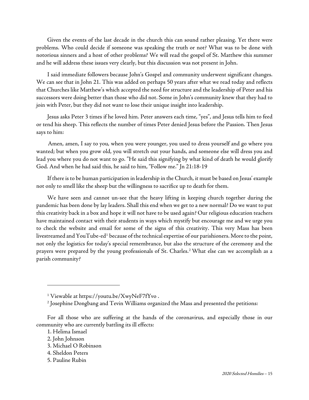Given the events of the last decade in the church this can sound rather pleasing. Yet there were problems. Who could decide if someone was speaking the truth or not? What was to be done with notorious sinners and a host of other problems? We will read the gospel of St. Matthew this summer and he will address these issues very clearly, but this discussion was not present in John.

I said immediate followers because John's Gospel and community underwent significant changes. We can see that in John 21. This was added on perhaps 50 years after what we read today and reflects that Churches like Matthew's which accepted the need for structure and the leadership of Peter and his successors were doing better than those who did not. Some in John's community knew that they had to join with Peter, but they did not want to lose their unique insight into leadership.

Jesus asks Peter 3 times if he loved him. Peter answers each time, "yes", and Jesus tells him to feed or tend his sheep. This reflects the number of times Peter denied Jesus before the Passion. Then Jesus says to him:

Amen, amen, I say to you, when you were younger, you used to dress yourself and go where you wanted; but when you grow old, you will stretch out your hands, and someone else will dress you and lead you where you do not want to go. "He said this signifying by what kind of death he would glorify God. And when he had said this, he said to him, "Follow me." Jn 21:18-19

If there is to be human participation in leadership in the Church, it must be based on Jesus' example not only to smell like the sheep but the willingness to sacrifice up to death for them.

We have seen and cannot un-see that the heavy lifting in keeping church together during the pandemic has been done by lay leaders. Shall this end when we get to a new normal? Do we want to put this creativity back in a box and hope it will not have to be used again? Our religious education teachers have maintained contact with their students in ways which mystify but encourage me and we urge you to check the website and email for some of the signs of this creativity. This very Mass has been livestreamed and YouTube-ed<sup>1</sup> because of the technical expertise of our parishioners. More to the point, not only the logistics for today's special remembrance, but also the structure of the ceremony and the prayers were prepared by the young professionals of St. Charles.[2](#page-20-1) What else can we accomplish as a parish community?

1. Helima Ismael

- 3. Michael O Robinson
- 4. Sheldon Peters
- 5. Pauline Rubin

<sup>1</sup> Viewable a[t https://youtu.be/XwyNeF7fYvo](https://youtu.be/XwyNeF7fYvo) .

<sup>2</sup> Josephine Dongbang and Tevin Williams organized the Mass and presented the petitions:

<span id="page-20-1"></span><span id="page-20-0"></span>For all those who are suffering at the hands of the coronavirus, and especially those in our community who are currently battling its ill effects:

<sup>2.</sup> John Johnson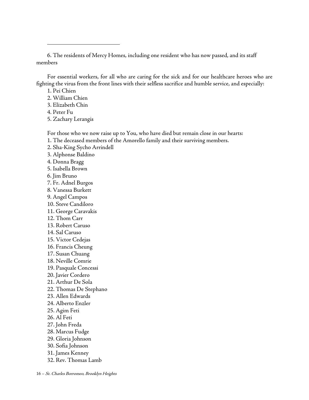6. The residents of Mercy Homes, including one resident who has now passed, and its staff members

For essential workers, for all who are caring for the sick and for our healthcare heroes who are fighting the virus from the front lines with their selfless sacrifice and humble service, and especially:

- 1. Pei Chien
- 2. William Chien
- 3. Elizabeth Chin
- 4. Peter Fu
- 5. Zachary Lerangis

For those who we now raise up to You, who have died but remain close in our hearts:

- 1. The deceased members of the Amorello family and their surviving members.
- 2. Sha-King Sycho Arrindell
- 3. Alphonse Baldino
- 4. Donna Bragg
- 5. Isabella Brown
- 6. Jim Bruno
- 7. Fr. Adnel Burgos
- 8. Vanessa Burkett
- 9. Angel Campos
- 10. Steve Candiloro
- 11. George Caravakis
- 12. Thom Carr
- 13. Robert Caruso
- 14. Sal Caruso
- 15. Victor Cedejas
- 16. Francis Cheung
- 17. Susan Chuang
- 18. Neville Comrie
- 19. Pasquale Concessi
- 20. Javier Cordero
- 21. Arthur De Sola
- 22. Thomas De Stephano
- 23. Allen Edwards
- 24. Alberto Enzler
- 25. Agim Feti
- 26. Al Feti
- 27. John Freda
- 28. Marcus Fudge
- 29. Gloria Johnson
- 30. Sofia Johnson
- 31. James Kenney
- 32. Rev. Thomas Lamb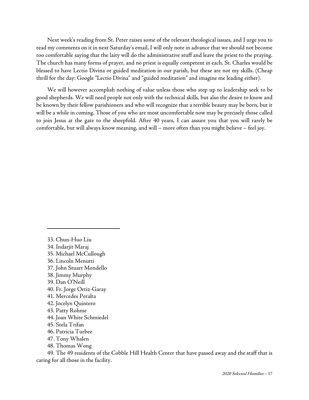Next week's reading from St. Peter raises some of the relevant theological issues, and I urge you to read my comments on it in next Saturday's email. I will only note in advance that we should not become too comfortable saying that the laity will do the administrative stuff and leave the priest to the praying. The church has many forms of prayer, and no priest is equally competent in each. St. Charles would be blessed to have Lectio Divina or guided meditation in our parish, but these are not my skills. (Cheap thrill for the day: Google "Lectio Divina" and "guided meditation" and imagine me leading either).

We will however accomplish nothing of value unless those who step up to leadership seek to be good shepherds. We will need people not only with the technical skills, but also the desire to know and be known by their fellow parishioners and who will recognize that a terrible beauty may be born, but it will be a while in coming. Those of you who are most uncomfortable now may be precisely those called to join Jesus at the gate to the sheepfold. After 40 years, I can assure you that you will rarely be comfortable, but will always know meaning, and will – more often than you might believe – feel joy.

33. Chun-Huo Liu 34. Indarjit Maraj 35. Michael McCullough 36. Lincoln Menutti 37. John Stuart Mondello 38. Jimmy Murphy 39. Dan O'Neill 40. Fr. Jorge Ortiz-Garay 41. Mercedes Peralta 42. Jocelyn Quintero 43. Patty Rohme 44. Joan White Schmiedel 45. Stela Trifan 46. Patricia Turbee 47. Tony Whalen 48. Thomas Wong

49. The 49 residents of the Cobble Hill Health Center that have passed away and the staff that is caring for all those in the facility.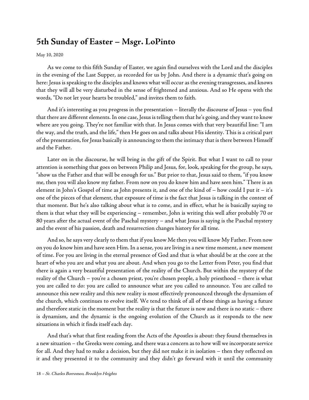## <span id="page-23-0"></span>**5th Sunday of Easter – Msgr. LoPinto**

#### May 10, 2020

As we come to this fifth Sunday of Easter, we again find ourselves with the Lord and the disciples in the evening of the Last Supper, as recorded for us by John. And there is a dynamic that's going on here: Jesus is speaking to the disciples and knows what will occur as the evening transgresses, and knows that they will all be very disturbed in the sense of frightened and anxious. And so He opens with the words, "Do not let your hearts be troubled," and invites them to faith.

And it's interesting as you progress in the presentation – literally the discourse of Jesus – you find that there are different elements. In one case, Jesus is telling them that he's going, and they want to know where are you going. They're not familiar with that. In Jesus comes with that very beautiful line: "I am the way, and the truth, and the life," then He goes on and talks about His identity. This is a critical part of the presentation, for Jesus basically is announcing to them the intimacy that is there between Himself and the Father.

Later on in the discourse, he will bring in the gift of the Spirit. But what I want to call to your attention is something that goes on between Philip and Jesus, for, look, speaking for the group, he says, "show us the Father and that will be enough for us." But prior to that, Jesus said to them, "if you know me, then you will also know my father. From now on you do know him and have seen him." There is an element in John's Gospel of time as John presents it, and one of the kind of – how could I put it – it's one of the pieces of that element, that exposure of time is the fact that Jesus is talking in the context of that moment. But he's also talking about what is to come, and in effect, what he is basically saying to them is that what they will be experiencing – remember, John is writing this well after probably 70 or 80 years after the actual event of the Paschal mystery – and what Jesus is saying is the Paschal mystery and the event of his passion, death and resurrection changes history for all time.

And so, he says very clearly to them that if you know Me then you will know My Father. From now on you do know him and have seen Him. In a sense, you are living in a new time moment, a new moment of time. For you are living in the eternal presence of God and that is what should be at the core at the heart of who you are and what you are about. And when you go to the Letter from Peter, you find that there is again a very beautiful presentation of the reality of the Church. But within the mystery of the reality of the Church – you're a chosen priest, you're chosen people, a holy priesthood – there is what you are called to do: you are called to announce what are you called to announce. You are called to announce this new reality and this new reality is most effectively pronounced through the dynamism of the church, which continues to evolve itself. We tend to think of all of these things as having a future and therefore static in the moment but the reality is that the future is now and there is no static – there is dynamism, and the dynamic is the ongoing evolution of the Church as it responds to the new situations in which it finds itself each day.

And that's what that first reading from the Acts of the Apostles is about: they found themselves in a new situation – the Greeks were coming, and there was a concern as to how will we incorporate service for all. And they had to make a decision, but they did not make it in isolation – then they reflected on it and they presented it to the community and they didn't go forward with it until the community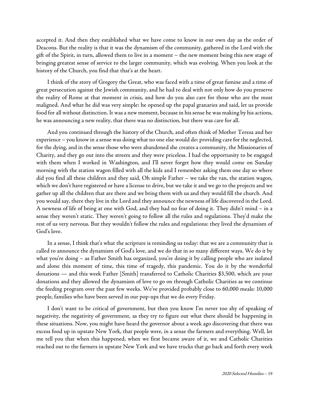accepted it. And then they established what we have come to know in our own day as the order of Deacons. But the reality is that it was the dynamism of the community, gathered in the Lord with the gift of the Spirit, in turn, allowed them to live in a moment – the new moment being this new stage of bringing greatest sense of service to the larger community, which was evolving. When you look at the history of the Church, you find that that's at the heart.

I think of the story of Gregory the Great, who was faced with a time of great famine and a time of great persecution against the Jewish community, and he had to deal with not only how do you preserve the reality of Rome at that moment in crisis, and how do you also care for those who are the most maligned. And what he did was very simple: he opened up the papal granaries and said, let us provide food for all without distinction. It was a new moment, because in his sense he was making by his actions, he was announcing a new reality, that there was no distinction, but there was care for all.

And you continued through the history of the Church, and often think of Mother Teresa and her experience – you know in a sense was doing what no one else would do: providing care for the neglected, for the dying, and in the sense those who were abandoned she creates a community, the Missionaries of Charity, and they go out into the streets and they were priceless. I had the opportunity to be engaged with them when I worked in Washington, and I'll never forget how they would come on Sunday morning with the station wagon filled with all the kids and I remember asking them one day so where did you find all these children and they said, Oh simple Father – we take the van, the station wagon, which we don't have registered or have a license to drive, but we take it and we go to the projects and we gather up all the children that are there and we bring them with us and they would fill the church. And you would say, there they live in the Lord and they announce the newness of life discovered in the Lord. A newness of life of being at one with God, and they had no fear of doing it. They didn't mind – in a sense they weren't static. They weren't going to follow all the rules and regulations. They'd make the rest of us very nervous. But they wouldn't follow the rules and regulations: they lived the dynamism of God's love.

In a sense, I think that's what the scripture is reminding us today: that we are a community that is called to announce the dynamism of God's love, and we do that in so many different ways. We do it by what you're doing – as Father Smith has organized, you're doing it by calling people who are isolated and alone this moment of time, this time of tragedy, this pandemic. You do it by the wonderful donations — and this week Father [Smith] transferred to Catholic Charities \$3,500, which are your donations and they allowed the dynamism of love to go on through Catholic Charities as we continue the feeding program over the past few weeks. We've provided probably close to 60,000 meals: 10,000 people, families who have been served in our pop-ups that we do every Friday.

I don't want to be critical of government, but then you know I'm never too shy of speaking of negativity, the negativity of government, as they try to figure out what there should be happening in these situations. Now, you might have heard the governor about a week ago discovering that there was excess food up in upstate New York, that people were, in a sense the farmers and everything. Well, let me tell you that when this happened, when we first became aware of it, we and Catholic Charities reached out to the farmers in upstate New York and we have trucks that go back and forth every week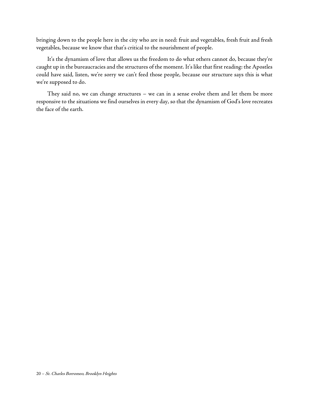bringing down to the people here in the city who are in need: fruit and vegetables, fresh fruit and fresh vegetables, because we know that that's critical to the nourishment of people.

It's the dynamism of love that allows us the freedom to do what others cannot do, because they're caught up in the bureaucracies and the structures of the moment. It's like that first reading: the Apostles could have said, listen, we're sorry we can't feed those people, because our structure says this is what we're supposed to do.

They said no, we can change structures – we can in a sense evolve them and let them be more responsive to the situations we find ourselves in every day, so that the dynamism of God's love recreates the face of the earth.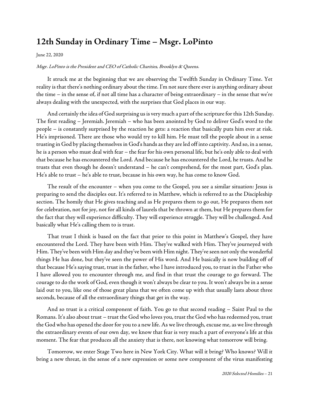## <span id="page-26-0"></span>**12th Sunday in Ordinary Time – Msgr. LoPinto**

#### June 22, [2020](https://www.stcharlesbklyn.org/2020/06/12th-sunday-ordinary-time-homily-msgr-lopinto/)

#### Msgr. LoPinto is the President and CEO of Catholic Charities, Brooklyn & Queens.

It struck me at the beginning that we are observing the Twelfth Sunday in Ordinary Time. Yet reality is that there's nothing ordinary about the time. I'm not sure there ever is anything ordinary about the time – in the sense of, if not all time has a character of being extraordinary – in the sense that we're always dealing with the unexpected, with the surprises that God places in our way.

And certainly the idea of God surprising us is very much a part of the scripture for this 12th Sunday. The first reading – Jeremiah. Jeremiah – who has been anointed by God to deliver God's word to the people – is constantly surprised by the reaction he gets: a reaction that basically puts him ever at risk. He's imprisoned. There are those who would try to kill him. He must tell the people about in a sense trusting in God by placing themselves in God's hands as they areled off into captivity. And so, in a sense, he is a person who must deal with fear – the fear for his own personal life, but he's only able to deal with that because he hasencountered the Lord. And because he hasencountered the Lord, he trusts. And he trusts that even though he doesn't understand – he can't comprehend, for the most part, God's plan. He's able to trust – he's able to trust, because in his own way, he has come to know God.

The result of the encounter – when you come to the Gospel, you see a similar situation: Jesus is preparing to send the disciples out. It's referred to in Matthew, which is referred to as the Discipleship section. The homily that He gives teaching and as He prepares them to go out, He prepares them not for celebration, not for joy, not for all kinds of laurels that be thrown at them, but He prepares them for the fact that they will experience difficulty. They will experience struggle. They will be challenged. And basically what He's calling them to is trust.

That trust I think is based on the fact that prior to this point in Matthew's Gospel, they have encountered the Lord. They have been with Him. They've walked with Him. They've journeyed with Him. They've been with Him day and they've been with Him night. They've seen not only the wonderful things He has done, but they've seen the power of His word. And He basically is now building off of that because He's saying trust, trust in thefather, who I haveintroduced you, to trust in the Father who I have allowed you to encounter through me, and find in that trust the courage to go forward. The courage to do the work of God, even though it won't always be clear to you. It won't always be in a sense laid out to you, like one of those great plans that we often come up with that usually lasts about three seconds, because of all the extraordinary things that get in the way.

And so trust is a critical component of faith. You go to that second reading – Saint Paul to the Romans. It's also about trust – trust the God who loves you, trust the God who has redeemed you, trust the God who has opened the door for you to a new life. As we live through, excuse me, as we live through the extraordinary events of our own day, we know that fear is very much a part of everyone's life at this moment. The fear that produces all the anxiety that is there, not knowing what tomorrow will bring.

Tomorrow, we enter Stage Two here in New York City. What will it bring? Who knows? Will it bring a new threat, in the sense of a new expression or some new component of the virus manifesting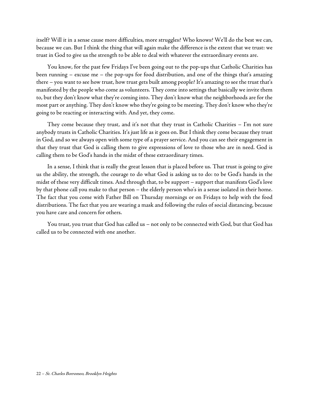itself? Will it in a sense cause more difficulties, more struggles? Who knows? We'll do the best we can, because we can. But I think the thing that will again make the difference is the extent that we trust: we trust in God to give us the strength to be able to deal with whatever the extraordinary events are.

You know, for the past few Fridays I've been going out to the pop-ups that Catholic Charities has been running – excuse me – the pop-ups for food distribution, and one of the things that's amazing there – you want to see how trust, how trust gets built among people? It's amazing to see the trust that's manifested by the people who come as volunteers. They come into settings that basically we invite them to, but they don't know what they're coming into. They don't know what the neighborhoods are for the most part or anything. They don't know who they're going to be meeting. They don't know who they're going to be reacting or interacting with. And yet, they come.

They come because they trust, and it's not that they trust in Catholic Charities – I'm not sure anybody trusts in Catholic Charities. It's just life as it goes on. But I think they come because they trust in God, and so we always open with some type of a prayer service. And you can see their engagement in that they trust that God is calling them to give expressions of love to those who are in need. God is calling them to be God's hands in the midst of these extraordinary times.

In a sense, I think that is really the great lesson that is placed before us. That trust is going to give us the ability, the strength, the courage to do what God is asking us to do: to be God's hands in the midst of these very difficult times. And through that, to be support – support that manifests God's love by that phone call you make to that person – the elderly person who's in a sense isolated in their home. The fact that you come with Father Bill on Thursday mornings or on Fridays to help with the food distributions. The fact that you are wearing a mask and following the rules of social distancing, because you have care and concern for others.

You trust, you trust that God has called us – not only to be connected with God, but that God has called us to be connected with one another.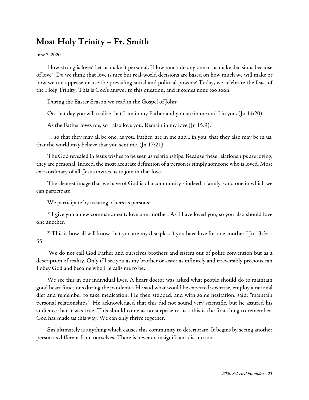## <span id="page-28-0"></span>**Most Holy Trinity – Fr. Smith**

June 7, [2020](https://www.stcharlesbklyn.org/2020/06/most-holy-trinity-homily-fr-smith/)

How strong is love? Let us make it personal. "How much do any one of us make decisions because of love". Do we think that love is nice but real-world decisions are based on how much we will make or how we can appease or use the prevailing social and political powers? Today, we celebrate the feast of the Holy Trinity. This is God's answer to this question, and it comes none too soon.

During the Easter Season we read in the Gospel of John:

On that day you will realize that I am in my Father and you are in me and I in you. (Jn 14:20)

As the Father loves me, so I also love you. Remain in my love (Jn 15:9).

… so that they may all be one, as you, Father, are in me and I in you, that they also may be in us, that the world may believe that you sent me. (Jn 17:21)

The God revealed in Jesus wishes to be seen as relationships. Because these relationships are loving, they are personal. Indeed, the most accurate definition of a person is simply someone who is loved. Most extraordinary of all, Jesus invites us to join in that love.

The clearest image that we have of God is of a community - indeed a family - and one in which we can participate.

We participate by treating others as persons:

<sup>34</sup> I give you a new commandment: love one another. As I have loved you, so you also should love one another.

<sup>35</sup> This is how all will know that you are my disciples, if you have love for one another." Jn 13:34-35

We do not call God Father and ourselves brothers and sisters out of polite convention but as a description of reality. Only if I see you as my brother or sister as infinitely and irreversibly precious can I obey God and become who He calls me to be.

We see this in our individual lives. A heart doctor was asked what people should do to maintain good heart functions during the pandemic. He said what would be expected: exercise, employ a rational diet and remember to take medication. He then stopped, and with some hesitation, said: "maintain personal relationships". He acknowledged that this did not sound very scientific, but he assured his audience that it was true. This should come as no surprise to us - this is the first thing to remember. God has made us this way. We can only thrive together.

Sin ultimately is anything which causes this community to deteriorate. It begins by seeing another person as different from ourselves. There is never an insignificant distinction.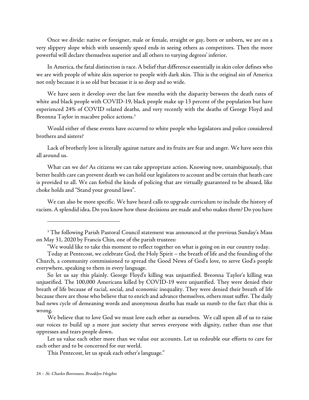Once we divide: native or foreigner, male or female, straight or gay, born or unborn, we are on a very slippery slope which with unseemly speed ends in seeing others as competitors. Then the more powerful will declare themselves superior and all others to varying degrees' inferior.

In America, the fatal distinction is race. A belief that difference essentially in skin color defines who we are with people of white skin superior to people with dark skin. This is the original sin of America not only because it is so old but because it is so deep and so wide.

We have seen it develop over the last few months with the disparity between the death rates of white and black people with COVID-19, black people make up 13 percent of the population but have experienced 24% of COVID related deaths, and very recently with the deaths of George Floyd and Breonna Taylor in macabre police actions.[3](#page-29-0)

Would either of these events have occurred to white people who legislators and police considered brothers and sisters?

Lack of brotherly love is literally against nature and its fruits are fear and anger. We have seen this all around us.

What can we do? As citizens we can take appropriate action. Knowing now, unambiguously, that better health care can prevent death we can hold our legislators to account and be certain that heath care is provided to all. We can forbid the kinds of policing that are virtually guaranteed to be abused, like choke holds and "Stand your ground laws".

We can also be more specific. We have heard calls to upgrade curriculum to include the history of racism. A splendid idea. Do you know how these decisions are made and who makes them? Do you have

So let us say this plainly. George Floyd's killing was unjustified. Breonna Taylor's killing was unjustified. The 100,000 Americans killed by COVID-19 were unjustified. They were denied their breath of life because of racial, social, and economic inequality. They were denied their breath of life because there are those who believe that to enrich and advance themselves, others must suffer. The daily bad news cycle of demeaning words and anonymous deaths has made us numb to the fact that this is wrong.

We believe that to love God we must love each other as ourselves. We call upon all of us to raise our voices to build up a more just society that serves everyone with dignity, rather than one that oppresses and tears people down.

Let us value each other more than we value our accounts. Let us redouble our efforts to care for each other and to be concerned for our world.

This Pentecost, let us speak each other's language."

<span id="page-29-0"></span><sup>&</sup>lt;sup>3</sup> The following Parish Pastoral Council statement was announced at the previous Sunday's Mass on May 31, 2020 by Francis Chin, one of the parish trustees:

<sup>&</sup>quot;We would like to take this moment to reflect together on what is going on in our country today.

Today at Pentecost, we celebrate God, the Holy Spirit – the breath of life and the founding of the Church, a community commissioned to spread the Good News of God's love, to serve God's people everywhere, speaking to them in every language.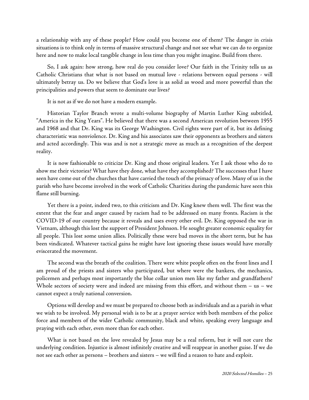a relationship with any of these people? How could you become one of them? The danger in crisis situations is to think only in terms of massive structural change and not see what we can do to organize here and now to make local tangible change in less time than you might imagine. Build from there.

So, I ask again: how strong, how real do you consider love? Our faith in the Trinity tells us as Catholic Christians that what is not based on mutual love - relations between equal persons - will ultimately betray us. Do we believe that God's love is as solid as wood and more powerful than the principalities and powers that seem to dominate our lives?

It is not as if we do not have a modern example.

Historian Taylor Branch wrote a multi-volume biography of Martin Luther King subtitled, "America in the King Years". He believed that there was a second American revolution between 1955 and 1968 and that Dr. King was its George Washington. Civil rights were part of it, but its defining characteristic was nonviolence. Dr. King and his associates saw their opponents as brothers and sisters and acted accordingly. This was and is not a strategic move as much as a recognition of the deepest reality.

It is now fashionable to criticize Dr. King and those original leaders. Yet I ask those who do to show me their victories? What have they done, what have they accomplished? The successes that I have seen have come out of the churches that have carried the touch of the primacy of love. Many of us in the parish who have become involved in the work of Catholic Charities during the pandemic have seen this flame still burning.

Yet there is a point, indeed two, to this criticism and Dr. King knew them well. The first was the extent that the fear and anger caused by racism had to be addressed on many fronts. Racism is the COVID-19 of our country because it reveals and uses every other evil. Dr. King opposed the war in Vietnam, although this lost the support of President Johnson. He sought greater economic equality for all people. This lost some union allies. Politically these were bad moves in the short term, but he has been vindicated. Whatever tactical gains he might have lost ignoring these issues would have morally eviscerated the movement.

The second was the breath of the coalition. There were white people often on the front lines and I am proud of the priests and sisters who participated, but where were the bankers, the mechanics, policemen and perhaps most importantly the blue collar union men like my father and grandfathers? Whole sectors of society were and indeed are missing from this effort, and without them – us – we cannot expect a truly national conversion.

Options will develop and we must be prepared to choose both as individuals and as a parish in what we wish to be involved. My personal wish is to be at a prayer service with both members of the police force and members of the wider Catholic community, black and white, speaking every language and praying with each other, even more than for each other.

What is not based on the love revealed by Jesus may be a real reform, but it will not cure the underlying condition. Injustice is almost infinitely creative and will reappear in another guise. If we do not see each other as persons – brothers and sisters – we will find a reason to hate and exploit.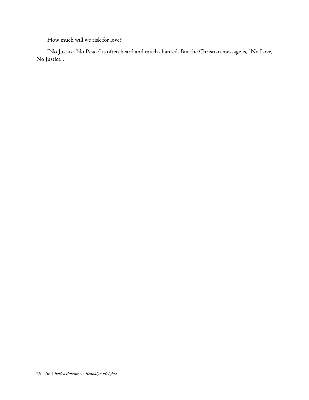How much will we risk for love?

"No Justice. No Peace" is often heard and much chanted. But the Christian message is, "No Love, No Justice".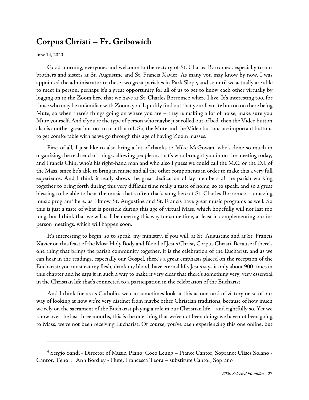## <span id="page-32-0"></span>**Corpus Christi – Fr. Gribowich**

June 14, [2020](https://www.stcharlesbklyn.org/2020/06/corpus-christi-homily-fr-gribowich/)

Good morning, everyone, and welcome to the rectory of St. Charles Borromeo, especially to our brothers and sisters at St. Augustine and St. Francis Xavier. As many you may know by now, I was appointed the administrator to these two great parishes in Park Slope, and so until we actually are able to meet in person, perhaps it's a great opportunity for all of us to get to know each other virtually by logging on to the Zoom here that we have at St. Charles Borromeo where I live. It's interesting too, for those who may be unfamiliar with Zoom, you'll quickly find out that your favorite button on there being Mute, so when there's things going on where you are – they're making a lot of noise, make sure you Mute yourself. And if you're the type of person who maybe just rolled out of bed, then the Video button also is another great button to turn that off. So, the Mute and the Video buttons are important buttons to get comfortable with as we go through this age of having Zoom masses.

First of all, I just like to also bring a lot of thanks to Mike McGowan, who's done so much in organizing the tech end of things, allowing people in, that's who brought you in on the meeting today, and Francis Chin, who's his right-hand man and who also I guess we could call the M.C. or the D.J. of the Mass, since he's able to bring in music and all the other components in order to make this a very full experience. And I think it really shows the great dedication of lay members of the parish working together to bring forth during this very difficult time really a taste of home, so to speak, and so a great blessing to be able to hear the music that's often that's sung here at St. Charles Borromeo – amazing music program<sup>[4](#page-32-1)</sup> here, as I know St. Augustine and St. Francis have great music programs as well. So this is just a taste of what is possible during this age of virtual Mass, which hopefully will not last too long, but I think that we will still be meeting this way for some time, at least in complementing our inperson meetings, which will happen soon.

It's interesting to begin, so to speak, my ministry, if you will, at St. Augustine and at St. Francis Xavier on this feast of the Most Holy Body and Blood of Jesus Christ, Corpus Christi. Becauseif there's one thing that brings the parish community together, it is the celebration of the Eucharist, and as we can hear in the readings, especially our Gospel, there's a great emphasis placed on the reception of the Eucharist: you must eat my flesh, drink my blood, have eternal life. Jesus says it only about 900 times in this chapter and he says it in such a way to make it very clear that there's something very, very essential in the Christian life that's connected to a participation in the celebration of the Eucharist.

And I think for us as Catholics we can sometimes look at this as our card of victory or so of our way of looking at how we're very distinct from maybe other Christian traditions, because of how much we rely on the sacrament of the Eucharist playing a role in our Christian life – and rightfully so. Yet we know over the last three months, this is the one thing that we've not been doing: we have not been going to Mass, we've not been receiving Eucharist. Of course, you've been experiencing this one online, but

<span id="page-32-1"></span><sup>4</sup> Sergio Sandí - Director of Music, Piano; Coco Leung – Piano; Cantor, Soprano; Ulises Solano - Cantor, Tenor; Ann Bordley - Flute; Francesca Teora – substitute Cantor, Soprano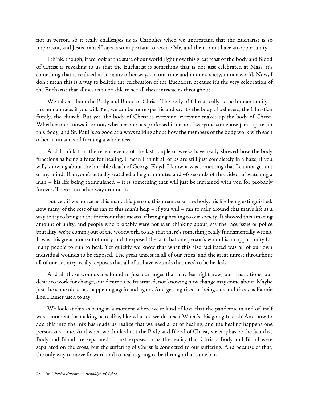not in person, so it really challenges us as Catholics when we understand that the Eucharist is so important, and Jesus himself says is so important to receive Me, and then to not have an opportunity.

I think, though, if we look at the state of our world right now this great feast of the Body and Blood of Christ is revealing to us that the Eucharist is something that is not just celebrated at Mass, it's something that is realized in so many other ways, in our time and in our society, in our world. Now, I don't mean this is a way to belittle the celebration of the Eucharist, because it's the very celebration of the Eucharist that allows us to be able to see all these intricacies throughout.

We talked about the Body and Blood of Christ. The body of Christ really is the human family – the human race, if you will. Yet, we can be more specific and say it's the body of believers, the Christian family, the church. But yet, the body of Christ is everyone: everyone makes up the body of Christ. Whether one knows it or not, whether one has professed it or not. Everyone somehow participates in this Body, and St. Paul is so good at always talking about how the members of the body work with each other in unison and forming a wholeness.

And I think that the recent events of the last couple of weeks have really showed how the body functions as being a force for healing. I mean I think all of us are still just completely in a haze, if you will, knowing about the horrible death of George Floyd. I know it was something that I cannot get out of my mind. If anyone's actually watched all eight minutes and 46 seconds of this video, of watching a man – his life being extinguished – it is something that will just be ingrained with you for probably forever. There's no other way around it.

But yet, if we notice as this man, this person, this member of the body, his life being extinguished, how many of the rest of us ran to this man's help – if you will – ran to rally around this man's life as a way to try to bring to the forefront that means of bringing healing to our society. It showed this amazing amount of unity, and people who probably were not even thinking about, say the race issue or police brutality, we're coming out of the woodwork, to say that there's something really fundamentally wrong. It was this great moment of unity and it exposed the fact that one person's wound is an opportunity for many people to run to heal. Yet quickly we know that what this also facilitated was all of our own individual wounds to be exposed. The great unrest in all of our cities, and the great unrest throughout all of our country, really, exposes that all of us have wounds that need to be healed.

And all those wounds are found in just our anger that may feel right now, our frustrations, our desire to work for change, our desire to be frustrated, not knowing how change may come about. Maybe just the same old story happening again and again. And getting tired of being sick and tired, as [Fannie](https://en.wikipedia.org/wiki/Fannie_Lou_Hamer) Lou [Hamer](https://en.wikipedia.org/wiki/Fannie_Lou_Hamer) used to say.

We look at this as being in a moment where we're kind of lost, that the pandemic in and of itself was a moment for making us realize, like what do we do next? When's this going to end? And now to add this into the mix has made us realize that we need a lot of healing, and the healing happens one person at a time. And when we think about the Body and Blood of Christ, we emphasize the fact that Body and Blood are separated. It just exposes to us the reality that Christ's Body and Blood were separated on the cross, but the suffering of Christ is connected to our suffering. And because of that, the only way to move forward and to heal is going to be through that same bar.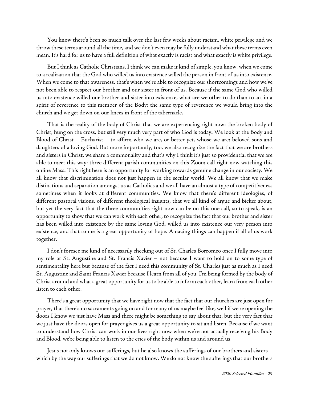You know there's been so much talk over the last few weeks about racism, white privilege and we throw these terms around all the time, and we don't even may be fully understand what these terms even mean. It's hard for us to have a full definition of what exactly is racist and what exactly is white privilege.

But I think as Catholic Christians, I think wecan make it kind of simple, you know, when wecome to a realization that the God who willed us into existence willed the person in front of us into existence. When we come to that awareness, that's when we're able to recognize our shortcomings and how we've not been able to respect our brother and our sister in front of us. Because if the same God who willed us into existence willed our brother and sister into existence, what are we other to do than to act in a spirit of reverence to this member of the Body: the same type of reverence we would bring into the church and we get down on our knees in front of the tabernacle.

That is the reality of the body of Christ that we are experiencing right now: the broken body of Christ, hung on the cross, but still very much very part of who God is today. We look at the Body and Blood of Christ – Eucharist – to affirm who we are, or better yet, whose we are: beloved sons and daughters of a loving God. But more importantly, too, we also recognize the fact that we are brothers and sisters in Christ, we share a commonality and that's why I think it's just so providential that we are able to meet this way: three different parish communities on this Zoom call right now watching this online Mass. This right here is an opportunity for working towards genuine change in our society. We all know that discrimination does not just happen in the secular world. We all know that we make distinctions and separation amongst us as Catholics and we all have an almost a type of competitiveness sometimes when it looks at different communities. We know that there's different ideologies, of different pastoral visions, of different theological insights, that we all kind of argue and bicker about, but yet the very fact that the three communities right now can be on this one call, so to speak, is an opportunity to show that we can work with each other, to recognize the fact that our brother and sister has been willed into existence by the same loving God, willed us into existence our very person into existence, and that to me is a great opportunity of hope. Amazing things can happen if all of us work together.

I don't foresee me kind of necessarily checking out of St. Charles Borromeo once I fully move into my role at St. Augustine and St. Francis Xavier – not because I want to hold on to some type of sentimentality here but because of the fact I need this community of St. Charles just as much as I need St. Augustine and Saint Francis Xavier because I learn from all of you. I'm being formed by the body of Christ around and what a great opportunity for us to be ableto inform each other, learn from each other listen to each other.

There's a great opportunity that we have right now that the fact that our churches are just open for prayer, that there's no sacraments going on and for many of us maybe feel like, well if we're opening the doors I know we just have Mass and there might be something to say about that, but the very fact that we just have the doors open for prayer gives us a great opportunity to sit and listen. Because if we want to understand how Christ can work in our lives right now when we're not actually receiving his Body and Blood, we're being able to listen to the cries of the body within us and around us.

Jesus not only knows our sufferings, but he also knows the sufferings of our brothers and sisters – which by the way our sufferings that we do not know. We do not know the sufferings that our brothers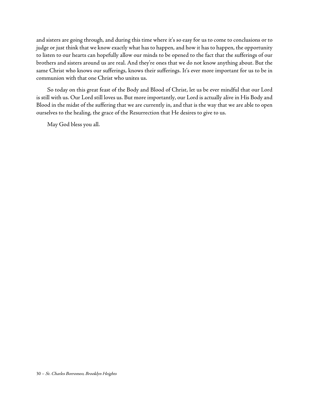and sisters are going through, and during this time where it's so easy for us to come to conclusions or to judge or just think that we know exactly what has to happen, and how it has to happen, the opportunity to listen to our hearts can hopefully allow our minds to be opened to the fact that the sufferings of our brothers and sisters around us are real. And they're ones that we do not know anything about. But the same Christ who knows our sufferings, knows their sufferings. It's ever more important for us to be in communion with that one Christ who unites us.

So today on this great feast of the Body and Blood of Christ, let us be ever mindful that our Lord is still with us. Our Lord still loves us. But more importantly, our Lord is actually alive in His Body and Blood in the midst of the suffering that we are currently in, and that is the way that we are able to open ourselves to the healing, the grace of the Resurrection that He desires to give to us.

May God bless you all.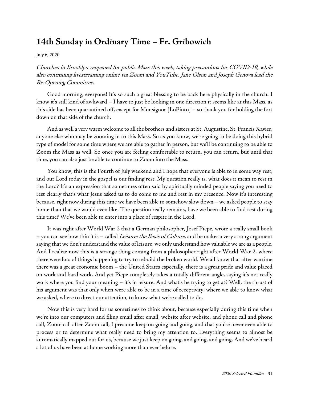## <span id="page-36-0"></span>**14th Sunday in Ordinary Time – Fr. Gribowich**

July 6, [2020](https://www.stcharlesbklyn.org/2020/07/14th-sunday-ordinary-time-homily-fr-gribowich/)

Churches in Brooklyn reopened for public Mass this week, taking precautions for COVID-19, while also continuing livestreaming online via Zoom and YouTube. Jane Olson and Joseph Genova lead the Re-Opening Committee.

Good morning, everyone! It's so such a great blessing to be back here physically in the church. I know it's still kind of awkward – I have to just be looking in one direction it seems like at this Mass, as this side has been quarantined off, except for Monsignor [LoPinto] – so thank you for holding the fort down on that side of the church.

And as well a very warm welcome to all the brothers and sisters at St. Augustine, St. Francis Xavier, anyone else who may be zooming in to this Mass. So as you know, we're going to be doing this hybrid type of model for some time where we are able to gather in person, but we'll be continuing to be able to Zoom the Mass as well. So once you are feeling comfortable to return, you can return, but until that time, you can also just be able to continue to Zoom into the Mass.

You know, this is the Fourth of July weekend and I hope that everyone is able to in some way rest, and our Lord today in the gospel is out finding rest. My question really is, what does it mean to rest in the Lord? It's an expression that sometimes often said by spiritually minded people saying you need to rest clearly that's what Jesus asked us to do come to me and rest in my presence. Now it's interesting because, right now during this time we have been able to somehow slow down – we asked people to stay home than that we would even like. The question really remains, have we been able to find rest during this time? We've been able to enter into a place of respite in the Lord.

It was right after World War 2 that a German philosopher, Josef Piepe, wrote a really small book – you can see how thin it is – called Leisure: the Basis of Culture, and he makes a very strong argument saying that we don't understand the value of leisure, we only understand how valuable we are as a people. And I realize now this is a strange thing coming from a philosopher right after World War 2, where there were lots of things happening to try to rebuild the broken world. We all know that after wartime there was a great economic boom – the United States especially, there is a great pride and value placed on work and hard work. And yet Piepe completely takes a totally different angle, saying it's not really work where you find your meaning – it's in leisure. And what's he trying to get at? Well, the thrust of his argument was that only when were able to be in a time of receptivity, where we able to know what we asked, where to direct our attention, to know what we're called to do.

Now this is very hard for us sometimes to think about, because especially during this time when we're into our computers and filing email after email, website after website, and phone call and phone call, Zoom call after Zoom call, I presume keep on going and going, and that you're never even able to process or to determine what really need to bring my attention to. Everything seems to almost be automatically mapped out for us, because we just keep on going, and going, and going. And we've heard a lot of us have been at home working more than ever before.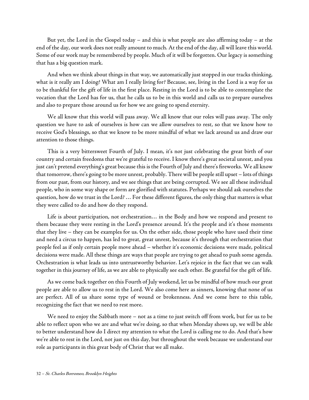But yet, the Lord in the Gospel today – and this is what people are also affirming today – at the end of the day, our work does not really amount to much. At the end of the day, all will leave this world. Some of our work may be remembered by people. Much of it will be forgotten. Our legacy is something that has a big question mark.

And when we think about things in that way, we automatically just stopped in our tracks thinking, what is it really am I doing? What am I really living for? Because, see, living in the Lord is a way for us to be thankful for the gift of life in the first place. Resting in the Lord is to be able to contemplate the vocation that the Lord has for us, that he calls us to be in this world and calls us to prepare ourselves and also to prepare those around us for how we are going to spend eternity.

We all know that this world will pass away. We all know that our roles will pass away. The only question we have to ask of ourselves is how can we allow ourselves to rest, so that we know how to receive God's blessings, so that we know to be more mindful of what we lack around us and draw our attention to those things.

This is a very bittersweet Fourth of July. I mean, it's not just celebrating the great birth of our country and certain freedoms that we're grateful to receive. I know there's great societal unrest, and you just can't pretend everything's great because this is the Fourth of July and there's fireworks. We all know that tomorrow, there's going to be more unrest, probably. There will be people still upset - lots of things from our past, from our history, and we see things that are being corrupted. We see all these individual people, who in some way shape or form are glorified with statutes. Perhaps we should ask ourselves the question, how do we trust in the Lord? ... For these different figures, the only thing that matters is what they were called to do and how do they respond.

Life is about participation, not orchestration… in the Body and how we respond and present to them because they were resting in the Lord's presence around. It's the people and it's those moments that they live – they can be examples for us. On the other side, those people who have used their time and need a circus to happen, has led to great, great unrest, because it's through that orchestration that people feel as if only certain people move ahead – whether it's economic decisions were made, political decisions were made. All these things are ways that people are trying to get ahead to push some agenda. Orchestration is what leads us into untrustworthy behavior. Let's rejoice in the fact that we can walk together in this journey of life, as we are able to physically see each other. Be grateful for the gift of life.

As wecome back together on this Fourth of July weekend, let us be mindful of how much our great people are able to allow us to rest in the Lord. We also come here as sinners, knowing that none of us are perfect. All of us share some type of wound or brokenness. And we come here to this table, recognizing the fact that we need to rest more.

We need to enjoy the Sabbath more – not as a time to just switch off from work, but for us to be able to reflect upon who we are and what we're doing, so that when Monday shows up, we will be able to better understand how do I direct my attention to what the Lord is calling me to do. And that's how we're able to rest in the Lord, not just on this day, but throughout the week because we understand our role as participants in this great body of Christ that we all make.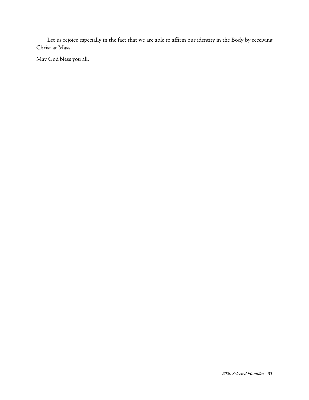Let us rejoice especially in the fact that we are able to affirm our identity in the Body by receiving Christ at Mass.

May God bless you all.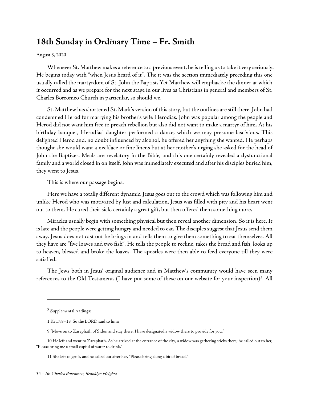## <span id="page-39-0"></span>**18th Sunday in Ordinary Time – Fr. Smith**

[August 3, 2020](https://www.stcharlesbklyn.org/2020/08/18th-sunday-ordinary-time-fr-smith-homily/)

Whenever St. Matthew makes a reference to a previous event, he is telling us to take it very seriously. He begins today with "when Jesus heard of it". The it was the section immediately preceding this one usually called the martyrdom of St. John the Baptist. Yet Matthew will emphasize the dinner at which it occurred and as we prepare for the next stage in our lives as Christians in general and members of St. Charles Borromeo Church in particular, so should we.

St. Matthew has shortened St. Mark's version of this story, but the outlines are still there. John had condemned Herod for marrying his brother's wife Herodias. John was popular among the people and Herod did not want him free to preach rebellion but also did not want to make a martyr of him. At his birthday banquet, Herodias' daughter performed a dance, which we may presume lascivious. This delighted Herod and, no doubt influenced by alcohol, he offered her anything she wanted. He perhaps thought she would want a necklace or fine linens but at her mother's urging she asked for the head of John the Baptizer. Meals are revelatory in the Bible, and this one certainly revealed a dysfunctional family and a world closed in on itself. John was immediately executed and after his disciples buried him, they went to Jesus.

This is where our passage begins.

Here we have a totally different dynamic. Jesus goes out to the crowd which was following him and unlike Herod who was motivated by lust and calculation, Jesus was filled with pity and his heart went out to them. He cured their sick, certainly a great gift, but then offered them something more.

Miracles usually begin with something physical but then reveal another dimension. So it is here. It is late and the people were getting hungry and needed to eat. The disciples suggest that Jesus send them away. Jesus does not cast out he brings in and tells them to give them something to eat themselves. All they have are "five loaves and two fish". He tells the people to recline, takes the bread and fish, looks up to heaven, blessed and broke the loaves. The apostles were then able to feed everyone till they were satisfied.

The Jews both in Jesus' original audience and in Matthew's community would have seen many references to the Old Testament. (I have put some of these on our website for your inspection)<sup>[5](#page-39-1)</sup>. All

<span id="page-39-1"></span><sup>5</sup> Supplemental readings:

<sup>1</sup> Ki 17:8–18 So the LORD said to him:

<sup>9 &</sup>quot;Move on to Zarephath of Sidon and stay there. I have designated a widow there to provide for you."

<sup>10</sup> He left and went to Zarephath. As he arrived at the entrance of the city, a widow was gathering sticks there; he called out to her, "Please bring me a small cupful of water to drink."

<sup>11</sup> She left to get it, and he called out after her, "Please bring along a bit of bread."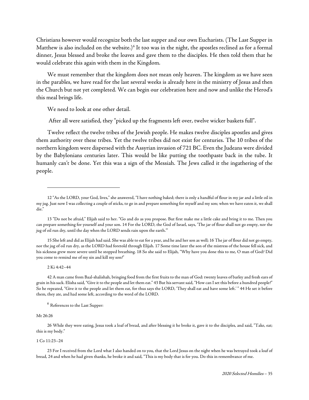Christians however would recognize both the last supper and our own Eucharists. (The Last Supper in Matthew is also included on the website.)<sup>[6](#page-40-0)</sup> It too was in the night, the apostles reclined as for a formal dinner, Jesus blessed and broke the loaves and gave them to the disciples. He then told them that he would celebrate this again with them in the Kingdom.

We must remember that the kingdom does not mean only heaven. The kingdom as we have seen in the parables, we have read for the last several weeks is already here in the ministry of Jesus and then the Church but not yet completed. We can begin our celebration here and now and unlike the Herod's this meal brings life.

We need to look at one other detail.

After all were satisfied, they "picked up the fragments left over, twelve wicker baskets full".

Twelve reflect the twelve tribes of the Jewish people. He makes twelve disciples apostles and gives them authority over these tribes. Yet the twelve tribes did not exist for centuries. The 10 tribes of the northern kingdom were dispersed with the Assyrian invasion of 721 BC. Even the Judeans were divided by the Babylonians centuries later. This would be like putting the toothpaste back in the tube. It humanly can't be done. Yet this was a sign of the Messiah. The Jews called it the ingathering of the people.

15 She left and did as Elijah had said. She was able to eat for a year, and he and her son as well; 16 The jar of flour did not go empty, nor the jug of oil run dry, as the LORD had foretold through Elijah. 17 Some time later the son of the mistress of the house fell sick, and his sickness grew more severe until he stopped breathing. 18 So she said to Elijah, "Why have you done this to me, O man of God? Did you come to remind me of my sin and kill my son?"

#### 2 Ki 4:42–44

42 A man came from Baal-shalishah, bringing food from the first fruits to the man of God: twenty loaves of barley and fresh ears of grain in his sack. Elisha said, "Give it to the people and let them eat." 43 But his servant said, "How can I set this before a hundred people?" So he repeated, "Give it to the people and let them eat, for thus says the LORD, 'They shall eat and have some left.' " 44 He set it before them, they ate, and had some left, according to the word of the LORD.

#### <sup>6</sup> References to the Last Supper:

#### <span id="page-40-0"></span>Mt 26:26

26 While they were eating, Jesus took a loaf of bread, and after blessing it he broke it, gave it to the disciples, and said, "Take, eat; this is my body."

#### 1 Co 11:23–24

23 For I received from the Lord what I also handed on to you, that the Lord Jesus on the night when he was betrayed took a loaf of bread, 24 and when he had given thanks, he broke it and said, "This is my body that is for you. Do this in remembrance of me.

<sup>12 &</sup>quot;As the LORD, your God, lives," she answered, "I have nothing baked; there is only a handful of flour in my jar and a little oil in my jug. Just now I was collecting a couple of sticks, to go in and prepare something for myself and my son; when we have eaten it, we shall die."

<sup>13 &</sup>quot;Do not be afraid," Elijah said to her. "Go and do as you propose. But first make me a little cake and bring it to me. Then you can prepare something for yourself and your son. 14 For the LORD, the God of Israel, says, 'The jar of flour shall not go empty, nor the jug of oil run dry, until the day when the LORD sends rain upon the earth.'"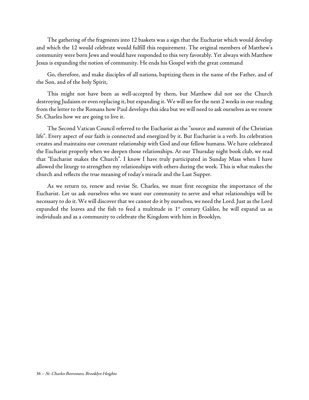The gathering of the fragments into 12 baskets was a sign that the Eucharist which would develop and which the 12 would celebrate would fulfill this requirement. The original members of Matthew's community were born Jews and would have responded to this very favorably. Yet always with Matthew Jesus is expanding the notion of community. He ends his Gospel with the great command

Go, therefore, and make disciples of all nations, baptizing them in the name of the Father, and of the Son, and of the holy Spirit,

This might not have been as well-accepted by them, but Matthew did not see the Church destroying Judaism or even replacing it, but expanding it. We will see for the next 2 weeks in our reading from the letter to the Romans how Paul develops this idea but we will need to ask ourselves as we renew St. Charles how we are going to live it.

The Second Vatican Council referred to the Eucharist as the "source and summit of the Christian life". Every aspect of our faith is connected and energized by it. But Eucharist is a verb. Its celebration creates and maintains our covenant relationship with God and our fellow humans. We have celebrated the Eucharist properly when we deepen those relationships. At our Thursday night book club, we read that "Eucharist makes the Church". I know I have truly participated in Sunday Mass when I have allowed the liturgy to strengthen my relationships with others during the week. This is what makes the church and reflects the true meaning of today's miracle and the Last Supper.

As we return to, renew and revise St. Charles, we must first recognize the importance of the Eucharist. Let us ask ourselves who we want our community to serve and what relationships will be necessary to do it. We will discover that we cannot do it by ourselves, we need the Lord. Just as the Lord expanded the loaves and the fish to feed a multitude in  $1<sup>st</sup>$  century Galilee, he will expand us as individuals and as a community to celebrate the Kingdom with him in Brooklyn.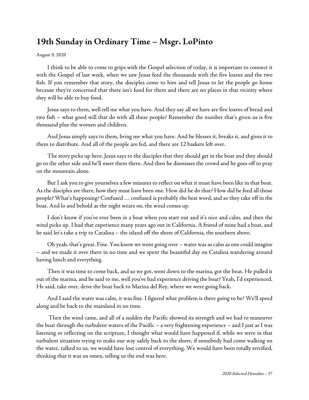## <span id="page-42-0"></span>**19th Sunday in Ordinary Time – Msgr. LoPinto**

#### [August](https://www.stcharlesbklyn.org/2020/08/19th-sunday-ordinary-time-msgr-lopinto-homily/) 9, 2020

I think to be able to come to grips with the Gospel selection of today, it is important to connect it with the Gospel of last week, when we saw Jesus feed the thousands with the five loaves and the two fish. If you remember that story, the disciples come to him and tell Jesus to let the people go home because they're concerned that there isn't food for them and there are no places in that vicinity where they will be able to buy food.

Jesus says to them, well tell me what you have. And they say all we have are five loaves of bread and two fish – what good will that do with all these people? Remember the number that's given us is five thousand plus the women and children.

And Jesus simply says to them, bring me what you have. And he blesses it, breaks it, and gives it to them to distribute. And all of the people are fed, and there are 12 baskets left over.

The story picks up here. Jesus says to the disciples that they should get in the boat and they should go to the other side and he'll meet them there. And then he dismisses the crowd and he goes off to pray on the mountain alone.

But I ask you to give yourselves a few minutes to reflect on what it must have been like in that boat. As the disciples are there, how they must have been one. How did he do that? How did he feed all those people? What's happening? Confused … confused is probably the best word, and so they take off in the boat. And lo and behold as the night wears on, the wind comes up.

I don't know if you've ever been in a boat when you start out and it's nice and calm, and then the wind picks up. I had that experience many years ago out in California. A friend of mine had a boat, and he said let's take a trip to Catalina – the island off the shore of California, the southern shore.

Oh yeah, that's great. Fine. You know we went going over – water was ascalm as onecould imagine – and we made it over there in no time and we spent the beautiful day on Catalina wandering around having lunch and everything.

Then it was time to come back, and so we got, went down to the marina, got the boat. He pulled it out of the marina, and he said to me, well you've had experience driving the boat? Yeah, I'd experienced. He said, take over, drive the boat back to Marina del Rey, where we were going back.

And I said the water was calm, it was fine. I figured what problem is there going to be? We'll speed along and be back to the mainland in no time.

Then the wind came, and all of a sudden the Pacific showed its strength and we had to maneuver the boat through the turbulent waters of the Pacific – a very frightening experience – and I just as I was listening or reflecting on the scripture, I thought what would have happened if, while we were in that turbulent situation trying to make our way safely back to the shore, if somebody had come walking on the water, talked to us, we would have lost control of everything. We would have been totally terrified, thinking that it was an omen, telling us the end was here.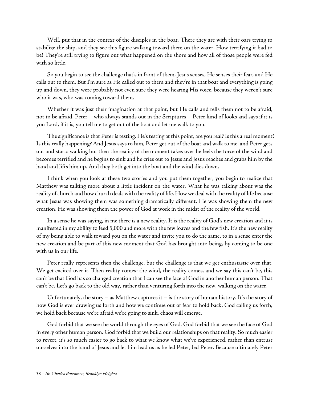Well, put that in the context of the disciples in the boat. There they are with their oars trying to stabilize the ship, and they see this figure walking toward them on the water. How terrifying it had to be! They're still trying to figure out what happened on the shore and how all of those people were fed with so little.

So you begin to see the challenge that's in front of them. Jesus senses, He senses their fear, and He calls out to them. But I'm sure as He called out to them and they're in that boat and everything is going up and down, they were probably not even sure they were hearing His voice, because they weren't sure who it was, who was coming toward them.

Whether it was just their imagination at that point, but He calls and tells them not to be afraid, not to be afraid. Peter – who always stands out in the Scriptures – Peter kind of looks and says if it is you Lord, if it is, you tell me to get out of the boat and let me walk to you.

The significance is that Peter is testing. He's testing at this point, are you real? Is this a real moment? Is this really happening? And Jesus says to him, Peter get out of the boat and walk to me. and Peter gets out and starts walking but then the reality of the moment takes over he feels the force of the wind and becomes terrified and he begins to sink and he cries out to Jesus and Jesus reaches and grabs him by the hand and lifts him up. And they both get into the boat and the wind dies down.

I think when you look at these two stories and you put them together, you begin to realize that Matthew was talking more about a little incident on the water. What he was talking about was the reality of church and how church deals with the reality of life. How we deal with the reality of life because what Jesus was showing them was something dramatically different. He was showing them the new creation. He was showing them the power of God at work in the midst of the reality of the world.

In a sense he was saying, in me there is a new reality. It is the reality of God's new creation and it is manifested in my ability to feed 5,000 and more with the few loaves and the few fish. It's the new reality of my being able to walk toward you on the water and invite you to do the same, to in a sense enter the new creation and be part of this new moment that God has brought into being, by coming to be one with us in our life.

Peter really represents then the challenge, but the challenge is that we get enthusiastic over that. We get excited over it. Then reality comes: the wind, the reality comes, and we say this can't be, this can't be that God has so changed creation that Ican see the face of God in another human person. That can't be. Let's go back to the old way, rather than venturing forth into the new, walking on the water.

Unfortunately, the story – as Matthew captures it – is the story of human history. It's the story of how God is ever drawing us forth and how we continue out of fear to hold back. God calling us forth, we hold back because we're afraid we're going to sink, chaos will emerge.

God forbid that we see the world through the eyes of God. God forbid that we see the face of God in every other human person. God forbid that we build our relationships on that reality. So much easier to revert, it's so much easier to go back to what we know what we've experienced, rather than entrust ourselves into the hand of Jesus and let him lead us as he led Peter, led Peter. Because ultimately Peter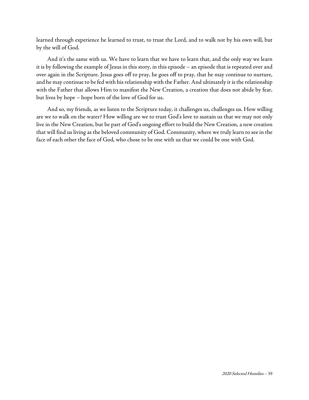learned through experience he learned to trust, to trust the Lord, and to walk not by his own will, but by the will of God.

And it's the same with us. We have to learn that we have to learn that, and the only way we learn it is by following the example of Jesus in this story, in this episode – an episode that is repeated over and over again in the Scripture. Jesus goes off to pray, he goes off to pray, that he may continue to nurture, and he may continue to be fed with his relationship with the Father. And ultimately it is the relationship with the Father that allows Him to manifest the New Creation, a creation that does not abide by fear, but lives by hope – hope born of the love of God for us.

And so, my friends, as we listen to the Scripture today, it challenges us, challenges us. How willing are we to walk on the water? How willing are we to trust God's love to sustain us that we may not only live in the New Creation, but be part of God's ongoing effort to build the New Creation, a new creation that will find us living as the beloved community of God. Community, where we truly learn to see in the face of each other the face of God, who chose to be one with us that we could be one with God.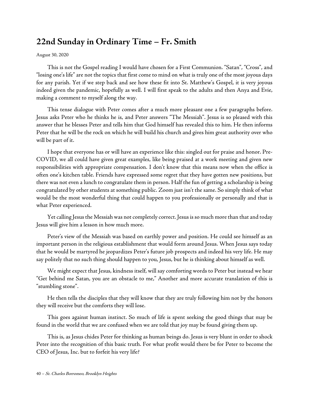## <span id="page-45-0"></span>**22nd Sunday in Ordinary Time – Fr. Smith**

#### [August 30, 2020](https://www.stcharlesbklyn.org/2020/08/22nd-sunday-ordinary-time-homily-fr-smith/)

This is not the Gospel reading I would have chosen for a First Communion. "Satan", "Cross", and "losing one's life" are not the topics that first come to mind on what is truly one of the most joyous days for any parish. Yet if we step back and see how these fit into St. Matthew's Gospel, it is very joyous indeed given the pandemic, hopefully as well. I will first speak to the adults and then Anya and Evie, making a comment to myself along the way.

This tense dialogue with Peter comes after a much more pleasant one a few paragraphs before. Jesus asks Peter who he thinks he is, and Peter answers "The Messiah". Jesus is so pleased with this answer that he blesses Peter and tells him that God himself has revealed this to him. He then informs Peter that he will be the rock on which he will build his church and gives him great authority over who will be part of it.

I hope that everyone has or will have an experience like this: singled out for praise and honor. Pre-COVID, we all could have given great examples, like being praised at a work meeting and given new responsibilities with appropriate compensation. I don't know that this means now when the office is often one's kitchen table. Friends have expressed some regret that they have gotten new positions, but there was not even a lunch to congratulate them in person. Half the fun of getting a scholarship is being congratulated by other students at something public. Zoom just isn't the same. So simply think of what would be the most wonderful thing that could happen to you professionally or personally and that is what Peter experienced.

Yet calling Jesus the Messiah was not completely correct. Jesus is so much more than that and today Jesus will give him a lesson in how much more.

Peter's view of the Messiah was based on earthly power and position. He could see himself as an important person in the religious establishment that would form around Jesus. When Jesus says today that he would be martyred he jeopardizes Peter's future job prospects and indeed his very life. He may say politely that no such thing should happen to you, Jesus, but he is thinking about himself as well.

We might expect that Jesus, kindness itself, will say comforting words to Peter but instead we hear "Get behind me Satan, you are an obstacle to me," Another and more accurate translation of this is "stumbling stone".

He then tells the disciples that they will know that they are truly following him not by the honors they will receive but the comforts they will lose.

This goes against human instinct. So much of life is spent seeking the good things that may be found in the world that we are confused when we are told that joy may be found giving them up.

This is, as Jesus chides Peter for thinking as human beings do. Jesus is very blunt in order to shock Peter into the recognition of this basic truth. For what profit would there be for Peter to become the CEO of Jesus, Inc. but to forfeit his very life?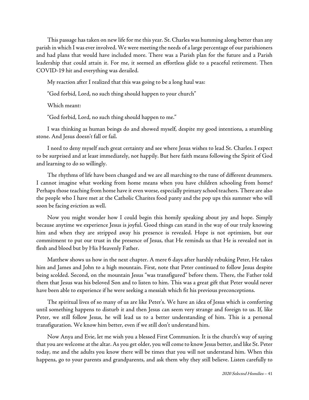This passage has taken on new life for me this year. St. Charles was humming along better than any parish in which I was ever involved. We were meeting the needs of a large percentage of our parishioners and had plans that would have included more. There was a Parish plan for the future and a Parish leadership that could attain it. For me, it seemed an effortless glide to a peaceful retirement. Then COVID-19 hit and everything was derailed.

My reaction after I realized that this was going to be a long haul was:

"God forbid, Lord, no such thing should happen to your church"

Which meant:

"God forbid, Lord, no such thing should happen to me."

I was thinking as human beings do and showed myself, despite my good intentions, a stumbling stone. And Jesus doesn't fall or fail.

I need to deny myself such great certainty and see where Jesus wishes to lead St. Charles. I expect to be surprised and at least immediately, not happily. But here faith means following the Spirit of God and learning to do so willingly.

The rhythms of life have been changed and we are all marching to the tune of different drummers. I cannot imagine what working from home means when you have children schooling from home? Perhaps those teaching from home have it even worse, especially primary school teachers. There are also the people who I have met at the Catholic Charites food panty and the pop ups this summer who will soon be facing eviction as well.

Now you might wonder how I could begin this homily speaking about joy and hope. Simply because anytime we experience Jesus is joyful. Good things can stand in the way of our truly knowing him and when they are stripped away his presence is revealed. Hope is not optimism, but our commitment to put our trust in the presence of Jesus, that He reminds us that He is revealed not in flesh and blood but by His Heavenly Father.

Matthew shows us how in the next chapter. A mere 6 days after harshly rebuking Peter, He takes him and James and John to a high mountain. First, note that Peter continued to follow Jesus despite being scolded. Second, on the mountain Jesus "was transfigured" before them. There, the Father told them that Jesus was his beloved Son and to listen to him. This was a great gift that Peter would never have been able to experience if he were seeking a messiah which fit his previous preconceptions.

The spiritual lives of so many of us are like Peter's. We have an idea of Jesus which is comforting until something happens to disturb it and then Jesus can seem very strange and foreign to us. If, like Peter, we still follow Jesus, he will lead us to a better understanding of him. This is a personal transfiguration. We know him better, even if we still don't understand him.

Now Anya and Evie, let me wish you a blessed First Communion. It is the church's way of saying that you are welcome at the altar. As you get older, you will come to know Jesus better, and like St. Peter today, me and the adults you know there will be times that you will not understand him. When this happens, go to your parents and grandparents, and ask them why they still believe. Listen carefully to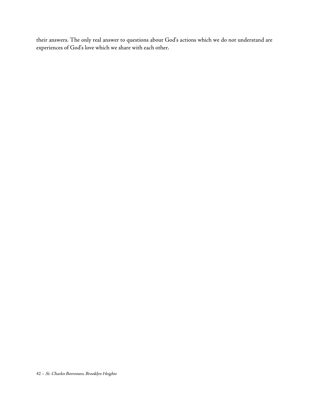their answers. The only real answer to questions about God's actions which we do not understand are experiences of God's love which we share with each other.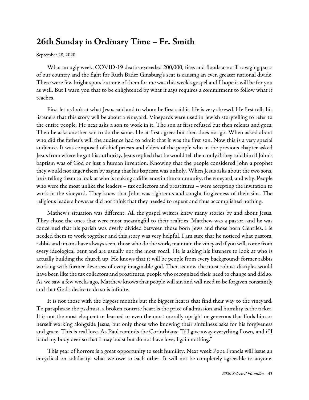## <span id="page-48-0"></span>**26th Sunday in Ordinary Time – Fr. Smith**

[September](https://www.stcharlesbklyn.org/2020/09/26th-sunday-ordinary-time-homily-fr-smith/) 28, 2020

What an ugly week. COVID-19 deaths exceeded 200,000, fires and floods are still ravaging parts of our country and the fight for Ruth Bader Ginsburg's seat is causing an even greater national divide. There were few bright spots but one of them for me was this week's gospel and I hope it will be for you as well. But I warn you that to be enlightened by what it says requires a commitment to follow what it teaches.

First let us look at what Jesus said and to whom he first said it. He is very shrewd. He first tells his listeners that this story will be about a vineyard. Vineyards were used in Jewish storytelling to refer to the entire people. He next asks a son to work in it. The son at first refused but then relents and goes. Then he asks another son to do the same. He at first agrees but then does not go. When asked about who did the father's will the audience had to admit that it was the first son. Now this is a very special audience. It was composed of chief priests and elders of the people who in the previous chapter asked Jesus from where he got his authority. Jesus replied that he would tell them only if they told him if John's baptism was of God or just a human invention. Knowing that the people considered John a prophet they would not anger them by saying that his baptism was unholy. When Jesus asks about thetwo sons, he is telling them to look at who is making a difference in the community, the vineyard, and why. People who were the most unlike the leaders – tax collectors and prostitutes – were accepting the invitation to work in the vineyard. They knew that John was righteous and sought forgiveness of their sins. The religious leaders however did not think that they needed to repent and thus accomplished nothing.

Mathew's situation was different. All the gospel writers knew many stories by and about Jesus. They chose the ones that were most meaningful to their realities. Matthew was a pastor, and he was concerned that his parish was overly divided between those born Jews and those born Gentiles. He needed them to work together and this story was very helpful. I am sure that he noticed what pastors, rabbis and imams have always seen, those who do the work, maintain the vineyard if you will, come from every ideological bent and are usually not the most vocal. He is asking his listeners to look at who is actually building the church up. He knows that it will be people from every background: former rabbis working with former devotees of every imaginable god. Then as now the most robust disciples would have been like the tax collectors and prostitutes, people who recognized their need to change and did so. As we saw a few weeks ago, Matthew knows that people will sin and will need to be forgiven constantly and that God's desire to do so is infinite.

It is not those with the biggest mouths but the biggest hearts that find their way to the vineyard. To paraphrase the psalmist, a broken contrite heart is the price of admission and humility is the ticket. It is not the most eloquent or learned or even the most morally upright or generous that finds him or herself working alongside Jesus, but only those who knowing their sinfulness asks for his forgiveness and grace. This is real love. As Paul reminds the Corinthians: "If I give away everything I own, and if I hand my body over so that I may boast but do not have love, I gain nothing."

This year of horrors is a great opportunity to seek humility. Next week Pope Francis will issue an encyclical on solidarity: what we owe to each other. It will not be completely agreeable to anyone.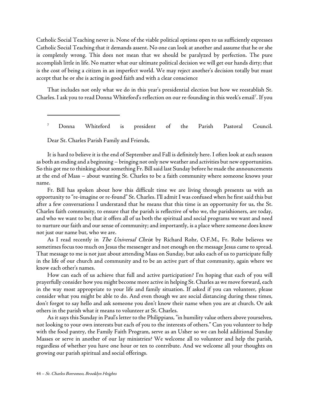Catholic Social Teaching never is. None of the viable political options open to us sufficiently expresses Catholic Social Teaching that it demands assent. No one can look at another and assume that he or she is completely wrong. This does not mean that we should be paralyzed by perfection. The pure accomplish little in life. No matter what our ultimate political decision we will get our hands dirty; that is the cost of being a citizen in an imperfect world. We may reject another's decision totally but must accept that he or she is acting in good faith and with a clear conscience

That includes not only what we do in this year's presidential election but how we reestablish St. Charles. I ask you to read Donna Whiteford's reflection on our re-founding in this week's email<sup>[7](#page-49-0)</sup>. If you

<sup>7</sup> Donna Whiteford is president of the Parish Pastoral Council.

Dear St. Charles Parish Family and Friends,

<span id="page-49-0"></span>It is hard to believe it is the end of September and Fall is definitely here. I often look at each season as both an ending and a beginning – bringing not only new weather and activities but new opportunities. So this got me to thinking about something Fr. Bill said last Sunday before he made the announcements at the end of Mass – about wanting St. Charles to be a faith community where someone knows your name.

Fr. Bill has spoken about how this difficult time we are living through presents us with an opportunity to "re-imagine or re-found" St. Charles. I'll admit I was confused when he first said this but after a few conversations I understand that he means that this time is an opportunity for us, the St. Charles faith community, to ensure that the parish is reflective of who we, the parishioners, are today, and who we want to be; that it offers all of us both the spiritual and social programs we want and need to nurture our faith and our sense of community; and importantly, is a place where someone does know not just our name but, who we are.

As I read recently in *The Universal Chris*t by Richard Rohr, O.F.M., Fr. Rohr believes we sometimes focus too much on Jesus the messenger and not enough on the message Jesus came to spread. That message to me is not just about attending Mass on Sunday, but asks each of us to participate fully in the life of our church and community and to be an active part of that community, again where we know each other's names.

How can each of us achieve that full and active participation? I'm hoping that each of you will prayerfully consider how you might become more active in helping St. Charles as we move forward, each in the way most appropriate to your life and family situation. If asked if you can volunteer, please consider what you might be able to do. And even though we are social distancing during these times, don't forgot to say hello and ask someone you don't know their name when you are at church. Or ask others in the parish what it means to volunteer at St. Charles.

As it says this Sunday in Paul's letter to the Philippians, "in humility value others above yourselves, not looking to your own interests but each of you to the interests of others." Can you volunteer to help with the food pantry, the Family Faith Program, serve as an Usher so we can hold additional Sunday Masses or serve in another of our lay ministries? We welcome all to volunteer and help the parish, regardless of whether you have one hour or ten to contribute. And we welcome all your thoughts on growing our parish spiritual and social offerings.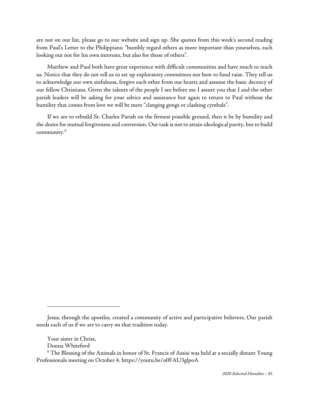are not on our list, please go to our website and sign up. She quotes from this week's second reading from Paul's Letter to the Philippians: "humbly regard others as more important than yourselves, each looking out not for his own interests, but also for those of others".

Matthew and Paul both have great experience with difficult communities and have much to teach us. Notice that they do not tell us to set up exploratory committees nor how to fund raise. They tell us to acknowledge our own sinfulness, forgive each other from our hearts and assume the basic decency of our fellow Christians. Given the talents of the people I see before me I assure you that I and the other parish leaders will be asking for your advice and assistance but again to return to Paul without the humility that comes from love we will be mere "clanging gongs or clashing cymbals".

If we are to rebuild St. Charles Parish on the firmest possible ground, then it be by humility and the desire for mutual forgiveness and conversion. Our task is not to attain ideological purity, but to build community.[8](#page-50-0)

Jesus, through the apostles, created a community of active and participative believers. Our parish needs each of us if we are to carry on that tradition today.

Your sister in Christ,

Donna Whiteford

<span id="page-50-0"></span> $8$  The Blessing of the Animals in honor of St. Francis of Assisi was held at a socially distant Young Professionals meeting on October 4. https://youtu.be/o0FAU3glpoA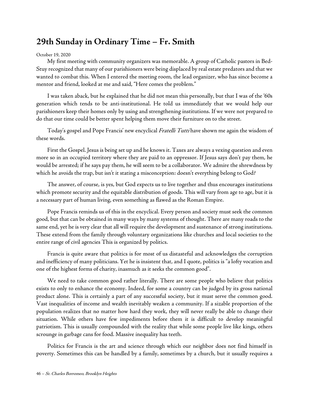## <span id="page-51-0"></span>**29th Sunday in Ordinary Time – Fr. Smith**

#### [October 19, 2020](https://www.stcharlesbklyn.org/2020/10/29th-sunday-ordinary-time-fr-smith-homily/)

My first meeting with community organizers was memorable. A group of Catholic pastors in Bed-Stuy recognized that many of our parishioners were being displaced by real estate predators and that we wanted to combat this. When I entered the meeting room, the lead organizer, who has since become a mentor and friend, looked at me and said, "Here comes the problem."

I was taken aback, but he explained that he did not mean this personally, but that I was of the '60s generation which tends to be anti-institutional. He told us immediately that we would help our parishioners keep their homes only by using and strengthening institutions. If we were not prepared to do that our time could be better spent helping them move their furniture on to the street.

Today's gospel and Pope Francis' new encyclical Fratelli Tutti have shown me again the wisdom of these words.

First the Gospel. Jesus is being set up and he knows it. Taxes are always a vexing question and even more so in an occupied territory where they are paid to an oppressor. If Jesus says don't pay them, he would be arrested; if he says pay them, he will seem to be a collaborator. We admire the shrewdness by which he avoids the trap, but isn't it stating a misconception: doesn't everything belong to God?

The answer, of course, is yes, but God expects us to live together and thus encourages institutions which promote security and the equitable distribution of goods. This will vary from age to age, but it is a necessary part of human living, even something as flawed as the Roman Empire.

Pope Francis reminds us of this in the encyclical. Every person and society must seek the common good, but that can be obtained in many ways by many systems of thought. There are many roads to the same end, yet he is very clear that all will require the development and sustenance of strong institutions. These extend from the family through voluntary organizations like churches and local societies to the entire range of civil agencies This is organized by politics.

Francis is quite aware that politics is for most of us distasteful and acknowledges the corruption and inefficiency of many politicians. Yet he is insistent that, and I quote, politics is "a lofty vocation and one of the highest forms of charity, inasmuch as it seeks the common good".

We need to take common good rather literally. There are some people who believe that politics exists to only to enhance the economy. Indeed, for some a country can be judged by its gross national product alone. This is certainly a part of any successful society, but it must serve the common good. Vast inequalities of income and wealth inevitably weaken a community. If a sizable proportion of the population realizes that no matter how hard they work, they will never really be able to change their situation. While others have few impediments before them it is difficult to develop meaningful patriotism. This is usually compounded with the reality that while some people live like kings, others scrounge in garbage cans for food. Massive inequality has teeth.

Politics for Francis is the art and science through which our neighbor does not find himself in poverty. Sometimes this can be handled by a family, sometimes by a church, but it usually requires a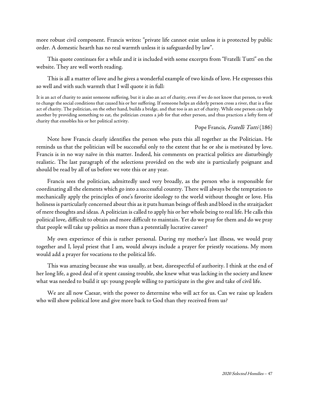more robust civil component. Francis writes: "private life cannot exist unless it is protected by public order. A domestic hearth has no real warmth unless it is safeguarded by law".

This quote continues for a while and it is included with some excerpts from "Fratelli Tutti" on the website. They are well worth reading.

This is all a matter of love and he gives a wonderful example of two kinds of love. He expresses this so well and with such warmth that I will quote it in full:

It is an act of charity to assist someone suffering, but it is also an act of charity, even if we do not know that person, to work to change the social conditions that caused his or her suffering. If someone helps an elderly person cross a river, that is a fine act of charity. The politician, on the other hand, builds a bridge, and that too is an act of charity. While one person can help another by providing something to eat, the politician creates a job for that other person, and thus practices a lofty form of charity that ennobles his or her political activity.

#### Pope Francis, Fratelli Tutti (186)

Note how Francis clearly identifies the person who puts this all together as the Politician. He reminds us that the politician will be successful only to the extent that he or she is motivated by love. Francis is in no way naïve in this matter. Indeed, his comments on practical politics are disturbingly realistic. The last paragraph of the selections provided on the web site is particularly poignant and should be read by all of us before we vote this or any year.

Francis sees the politician, admittedly used very broadly, as the person who is responsible for coordinating all the elements which go into a successful country. There will always be the temptation to mechanically apply the principles of one's favorite ideology to the world without thought or love. His holiness is particularly concerned about this as it puts human beings of flesh and blood in the straitjacket of mere thoughts and ideas. A politician is called to apply his or her whole being to real life. He calls this political love, difficult to obtain and more difficult to maintain. Yet do we pray for them and do we pray that people will take up politics as more than a potentially lucrative career?

My own experience of this is rather personal. During my mother's last illness, we would pray together and I, loyal priest that I am, would always include a prayer for priestly vocations. My mom would add a prayer for vocations to the political life.

This was amazing because she was usually, at best, disrespectful of authority. I think at the end of her long life, a good deal of it spent causing trouble, she knew what was lacking in the society and knew what was needed to build it up: young people willing to participate in the give and take of civil life.

We are all now Caesar, with the power to determine who will act for us. Can we raise up leaders who will show political love and give more back to God than they received from us?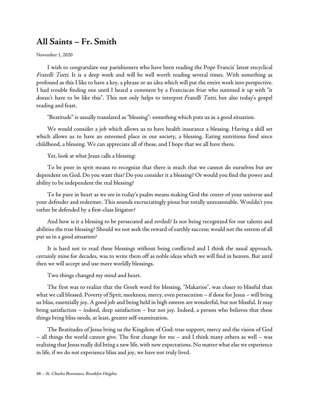## <span id="page-53-0"></span>**All Saints – Fr. Smith**

[November 1, 2020](https://www.stcharlesbklyn.org/2020/11/all-saints-homily-fr-smith/)

I wish to congratulate our parishioners who have been reading the Pope Francis' latest encyclical [Fratelli Tutti](http://www.vatican.va/content/francesco/en/encyclicals/documents/papa-francesco_20201003_enciclica-fratelli-tutti.html). It is a deep work and will be well worth reading several times. With something as profound as this I like to have a key, a phrase or an idea which will put the entire work into perspective. I had trouble finding one until I heard a comment by a Franciscan friar who summed it up with "it doesn't have to be like this". This not only helps to interpret Fratelli Tutti, but also today's gospel reading and feast.

"Beatitude" is usually translated as "blessing": something which puts us in a good situation.

We would consider a job which allows us to have health insurance a blessing. Having a skill set which allows us to have an esteemed place in our society, a blessing. Eating nutritious food since childhood, a blessing. We can appreciate all of these, and I hope that we all have them.

Yet, look at what Jesus calls a blessing:

To be poor in sprit means to recognize that there is much that we cannot do ourselves but are dependent on God. Do you want this? Do you consider it a blessing? Or would you find the power and ability to be independent the real blessing?

To be pure in heart as we see in today's psalm means making God the center of your universe and your defender and redeemer. This sounds excruciatingly pious but totally unreasonable. Wouldn't you rather be defended by a first-class litigator?

And how is it a blessing to be persecuted and reviled? Is not being recognized for our talents and abilities the true blessing? Should we not seek the reward of earthly success; would not the esteem of all put us in a good situation?

It is hard not to read these blessings without being conflicted and I think the usual approach, certainly mine for decades, was to write them off as noble ideas which we will find in heaven. But until then we will accept and use more worldly blessings.

Two things changed my mind and heart.

The first was to realize that the Greek word for blessing, "Makarios", was closer to blissful than what we call blessed. Poverty of Sprit, meekness, mercy, even persecution – if done for Jesus – will bring us bliss, essentially joy. A good job and being held in high esteem are wonderful, but not blissful. It may bring satisfaction – indeed, deep satisfaction – but not joy. Indeed, a person who believes that these things bring bliss needs, at least, greater self-examination.

The Beatitudes of Jesus bring us the Kingdom of God: true support, mercy and the vision of God – all things the world cannot give. The first change for me – and I think many others as well – was realizing that Jesus really did bring a new life, with new expectations. No matter what else we experience in life, if we do not experience bliss and joy, we have not truly lived.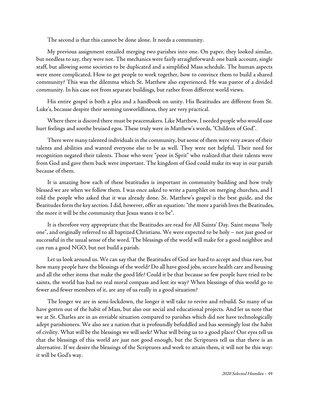The second is that this cannot be done alone. It needs a community.

My previous assignment entailed merging two parishes into one. On paper, they looked similar, but needless to say, they were not. The mechanics were fairly straightforward: one bank account, single staff, but allowing some societies to be duplicated and a simplified Mass schedule. The human aspects were more complicated. How to get people to work together, how to convince them to build a shared community? This was the dilemma which St. Matthew also experienced. He was pastor of a divided community. In his case not from separate buildings, but rather from different world views.

His entire gospel is both a plea and a handbook on unity. His Beatitudes are different from St. Luke's, because despite their seeming unworldliness, they are very practical.

Where there is discord there must be peacemakers. Like Matthew, I needed people who would ease hurt feelings and soothe bruised egos. These truly were in Matthew's words, "Children of God".

There were many talented individuals in the community, but some of them were very aware of their talents and abilities and wanted everyone else to be as well. They were not helpful. Their need for recognition negated their talents. Those who were "poor in Sprit" who realized that their talents were from God and gave them back were important. The kingdom of God could make its way in our parish because of them.

It is amazing how each of these beatitudes is important in community building and how truly blessed we are when we follow them. I was once asked to write a pamphlet on merging churches, and I told the people who asked that it was already done. St. Matthew's gospel is the best guide, and the Beatitudes form the key section. I did, however, offer an equation: "the more a parish lives the Beatitudes, the more it will be the community that Jesus wants it to be".

It is therefore very appropriate that the Beatitudes are read for All Saints' Day. Saint means "holy one", and originally referred to all baptized Christians. We were expected to be holy – not just good or successful in the usual sense of the word. The blessings of the world will make for a good neighbor and can run a good NGO, but not build a parish.

Let us look around us. We can say that the Beatitudes of God are hard to accept and thus rare, but how many people have the blessings of the world? Do all have good jobs, secure health care and housing and all the other items that make the good life? Could it be that because so few people have tried to be saints, the world has had no real moral compass and lost its way? When blessings of this world go to fewer and fewer members of it, are any of us really in a good situation?

The longer we are in semi-lockdown, the longer it will take to revive and rebuild. So many of us have gotten out of the habit of Mass, but also our social and educational projects. And let us note that we at St. Charles are in an enviable situation compared to parishes which did not have technologically adept parishioners. We also see a nation that is profoundly befuddled and has seemingly lost the habit of civility. What will be the blessings we will seek? What will bring us to a good place? Our eyes tell us that the blessings of this world are just not good enough, but the Scriptures tell us that there is an alternative. If we desire the blessings of the Scriptures and work to attain them, it will not be this way: it will be God's way.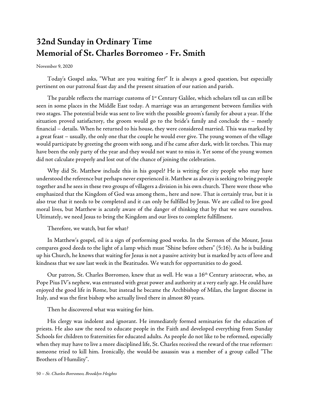# <span id="page-55-0"></span>**32nd Sunday in Ordinary Time Memorial of St. Charles Borromeo - Fr. Smith**

#### November 9, 2020

Today's Gospel asks, "What are you waiting for?" It is always a good question, but especially pertinent on our patronal feast day and the present situation of our nation and parish.

The parable reflects the marriage customs of  $1^{st}$  Century Galilee, which scholars tell us can still be seen in some places in the Middle East today. A marriage was an arrangement between families with two stages. The potential bride was sent to live with the possible groom's family for about a year. If the situation proved satisfactory, the groom would go to the bride's family and conclude the – mostly financial – details. When he returned to his house, they were considered married. This was marked by a great feast – usually, the only one that the couple he would ever give. The young women of the village would participate by greeting the groom with song, and if he came after dark, with lit torches. This may have been the only party of the year and they would not want to miss it. Yet some of the young women did not calculate properly and lost out of the chance of joining the celebration.

Why did St. Matthew include this in his gospel? He is writing for city people who may have understood the reference but perhaps never experienced it. Matthew as always is seeking to bring people together and he sees in these two groups of villagers a division in his own church. There were those who emphasized that the Kingdom of God was among them., here and now. That is certainly true, but it is also true that it needs to be completed and it can only be fulfilled by Jesus. We are called to live good moral lives, but Matthew is acutely aware of the danger of thinking that by that we save ourselves. Ultimately, we need Jesus to bring the Kingdom and our lives to complete fulfillment.

Therefore, we watch, but for what?

In Matthew's gospel, oil is a sign of performing good works. In the Sermon of the Mount, Jesus compares good deeds to the light of a lamp which must "Shine before others" (5:16). As he is building up his Church, he knows that waiting for Jesus is not a passive activity but is marked by acts of love and kindness that we saw last week in the Beatitudes. We watch for opportunities to do good.

Our patron, St. Charles Borromeo, knew that as well. He was a 16<sup>th</sup> Century aristocrat, who, as Pope Pius IV's nephew, was entrusted with great power and authority at a very early age. He could have enjoyed the good life in Rome, but instead he became the Archbishop of Milan, the largest diocese in Italy, and was the first bishop who actually lived there in almost 80 years.

Then he discovered what was waiting for him.

His clergy was indolent and ignorant. He immediately formed seminaries for the education of priests. He also saw the need to educate people in the Faith and developed everything from Sunday Schools for children to fraternities for educated adults. As people do not like to be reformed, especially when they may have to live a more disciplined life, St. Charles received the reward of the true reformer: someone tried to kill him. Ironically, the would-be assassin was a member of a group called "The Brothers of Humility".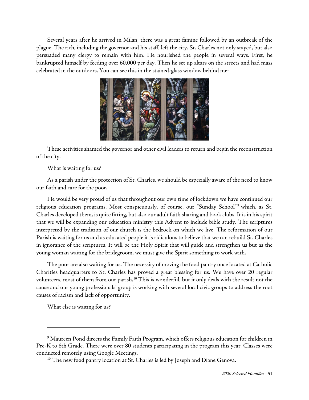Several years after he arrived in Milan, there was a great famine followed by an outbreak of the plague. The rich, including the governor and his staff, left the city. St. Charles not only stayed, but also persuaded many clergy to remain with him. He nourished the people in several ways. First, he bankrupted himself by feeding over 60,000 per day. Then he set up altars on the streets and had mass celebrated in the outdoors. You can see this in the stained-glass window behind me:



These activities shamed the governor and other civil leaders to return and begin the reconstruction of the city.

What is waiting for us?

As a parish under the protection of St. Charles, we should be especially aware of the need to know our faith and care for the poor.

He would be very proud of us that throughout our own time of lockdown we have continued our religious education programs. Most conspicuously, of course, our "Sunday School"<sup>[9](#page-56-0)</sup> which, as St. Charles developed them, is quite fitting, but also our adult faith sharing and book clubs. It is in his spirit that we will be expanding our education ministry this Advent to include bible study. The scriptures interpreted by the tradition of our church is the bedrock on which we live. The reformation of our Parish is waiting for us and as educated people it is ridiculous to believe that we can rebuild St. Charles in ignorance of the scriptures. It will be the Holy Spirit that will guide and strengthen us but as the young woman waiting for the bridegroom, we must give the Spirit something to work with.

The poor are also waiting for us. The necessity of moving the food pantry once located at Catholic Charities headquarters to St. Charles has proved a great blessing for us. We have over 20 regular volunteers, most of them from our parish.<sup>10</sup> This is wonderful, but it only deals with the result not the cause and our young professionals' group is working with several local civic groups to address the root causes of racism and lack of opportunity.

What else is waiting for us?

<span id="page-56-1"></span><span id="page-56-0"></span><sup>9</sup> Maureen Pond directs the Family Faith Program, which offers religious education for children in Pre-K to 8th Grade. There were over 80 students participating in the program this year. Classes were conducted remotely using Google Meetings.

 $10$  The new food pantry location at St. Charles is led by Joseph and Diane Genova.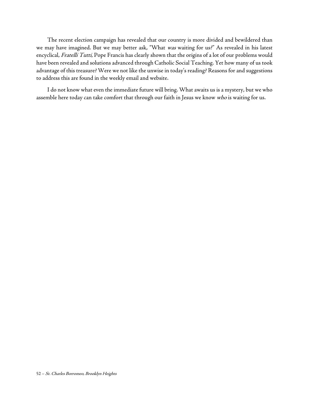The recent election campaign has revealed that our country is more divided and bewildered than we may have imagined. But we may better ask, "What was waiting for us?" As revealed in his latest encyclical, Fratelli Tutti, Pope Francis has clearly shown that the origins of a lot of our problems would have been revealed and solutions advanced through Catholic Social Teaching. Yet how many of us took advantage of this treasure? Were we not like the unwise in today's reading? Reasons for and suggestions to address this are found in the weekly email and website.

I do not know what even the immediate future will bring. What awaits us is a mystery, but we who assemble here today can take comfort that through our faith in Jesus we know who is waiting for us.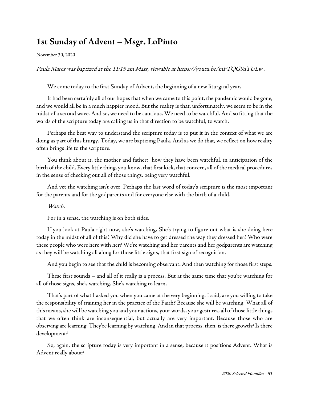## <span id="page-58-0"></span>**1st Sunday of Advent – Msgr. LoPinto**

[November 30, 2020](https://www.stcharlesbklyn.org/2020/11/1st-sunday-of-advent-homily-msgr-lopinto/)

Paula Mares was baptized at the 11:15 am Mass, viewable a[t https://youtu.be/mFTQG9uTULw](https://youtu.be/mFTQG9uTULw) .

We come today to the first Sunday of Advent, the beginning of a new liturgical year.

It had been certainly all of our hopes that when we came to this point, the pandemic would be gone, and we would all be in a much happier mood. But the reality is that, unfortunately, we seem to be in the midst of a second wave. And so, we need to be cautious. We need to be watchful. And so fitting that the words of the scripture today are calling us in that direction to be watchful, to watch.

Perhaps the best way to understand the scripture today is to put it in the context of what we are doing as part of this liturgy. Today, we are baptizing Paula. And as we do that, we reflect on how reality often brings life to the scripture.

You think about it, the mother and father: how they have been watchful, in anticipation of the birth of the child. Every little thing, you know, that first kick, that concern, all of the medical procedures in the sense of checking out all of those things, being very watchful.

And yet the watching isn't over. Perhaps the last word of today's scripture is the most important for the parents and for the godparents and for everyone else with the birth of a child.

Watch.

For in a sense, the watching is on both sides.

If you look at Paula right now, she's watching. She's trying to figure out what is she doing here today in the midst of all of this? Why did she have to get dressed the way they dressed her? Who were these people who were here with her? We're watching and her parents and her godparents are watching as they will be watching all along for those little signs, that first sign of recognition.

And you begin to see that the child is becoming observant. And then watching for those first steps.

These first sounds – and all of it really is a process. But at the same time that you're watching for all of those signs, she's watching. She's watching to learn.

That's part of what I asked you when you came at the very beginning. I said, are you willing to take the responsibility of training her in the practice of the Faith? Because she will be watching. What all of this means, she will be watching you and your actions, your words, your gestures, all of those little things that we often think are inconsequential, but actually are very important. Because those who are observing are learning. They're learning by watching. And in that process, then, is there growth? Is there development?

So, again, the scripture today is very important in a sense, because it positions Advent. What is Advent really about?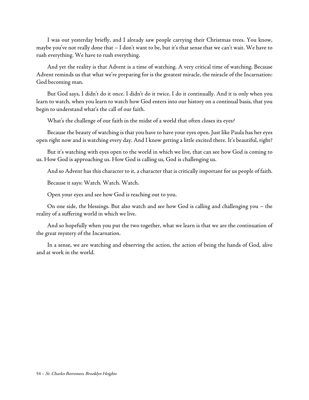I was out yesterday briefly, and I already saw people carrying their Christmas trees. You know, maybe you've not really done that – I don't want to be, but it's that sense that we can't wait. We have to rush everything. We have to rush everything.

And yet the reality is that Advent is a time of watching. A very critical time of watching. Because Advent reminds us that what we're preparing for is the greatest miracle, the miracle of the Incarnation: God becoming man.

But God says, I didn't do it once. I didn't do it twice. I do it continually. And it is only when you learn to watch, when you learn to watch how God enters into our history on a continual basis, that you begin to understand what's the call of our faith.

What's the challenge of our faith in the midst of a world that often closes its eyes?

Because the beauty of watching is that you have to have your eyes open. Just like Paula has her eyes open right now and is watching every day. And I know getting a little excited there. It's beautiful, right?

But it's watching with eyes open to the world in which we live, that can see how God is coming to us. How God is approaching us. How God is calling us, God is challenging us.

And so Advent has this character to it, a character that is critically important for us people of faith.

Because it says: Watch. Watch. Watch.

Open your eyes and see how God is reaching out to you.

On one side, the blessings. But also watch and see how God is calling and challenging you – the reality of a suffering world in which we live.

And so hopefully when you put the two together, what we learn is that we are the continuation of the great mystery of the Incarnation.

In a sense, we are watching and observing the action, the action of being the hands of God, alive and at work in the world.